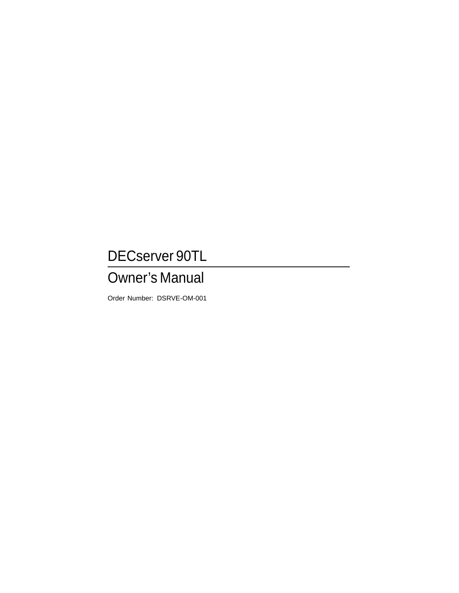## DECserver 90TL

## Owner's Manual

Order Number: DSRVE-OM-001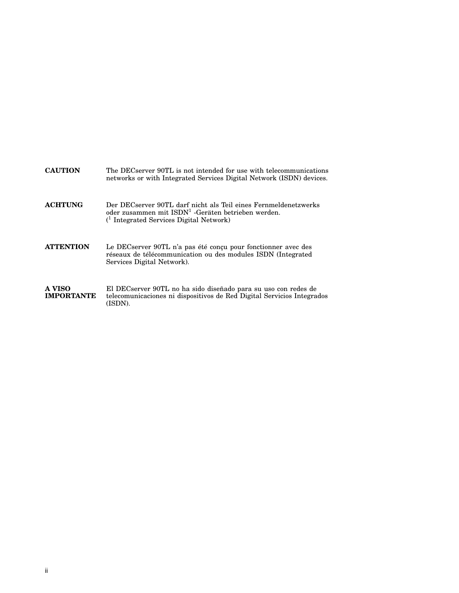| <b>CAUTION</b>              | The DECserver 90TL is not intended for use with telecommunications<br>networks or with Integrated Services Digital Network (ISDN) devices.                                            |
|-----------------------------|---------------------------------------------------------------------------------------------------------------------------------------------------------------------------------------|
| <b>ACHTUNG</b>              | Der DECserver 90TL darf nicht als Teil eines Fernmeldenetzwerks<br>oder zusammen mit $\text{ISDN}^1$ -Geräten betrieben werden.<br><sup>(1</sup> Integrated Services Digital Network) |
| <b>ATTENTION</b>            | Le DECserver 90TL n'a pas été conçu pour fonctionner avec des<br>réseaux de télécommunication ou des modules ISDN (Integrated<br>Services Digital Network).                           |
| A VISO<br><b>IMPORTANTE</b> | El DECserver 90TL no ha sido diseñado para su uso con redes de<br>telecomunicaciones ni dispositivos de Red Digital Servicios Integrados<br>(ISDN).                                   |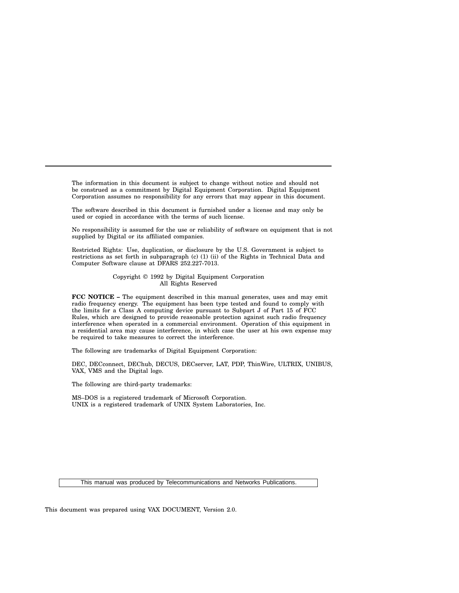The information in this document is subject to change without notice and should not be construed as a commitment by Digital Equipment Corporation. Digital Equipment Corporation assumes no responsibility for any errors that may appear in this document.

The software described in this document is furnished under a license and may only be used or copied in accordance with the terms of such license.

No responsibility is assumed for the use or reliability of software on equipment that is not supplied by Digital or its affiliated companies.

Restricted Rights: Use, duplication, or disclosure by the U.S. Government is subject to restrictions as set forth in subparagraph (c) (1) (ii) of the Rights in Technical Data and Computer Software clause at DFARS 252.227-7013.

> Copyright © 1992 by Digital Equipment Corporation All Rights Reserved

**FCC NOTICE –** The equipment described in this manual generates, uses and may emit radio frequency energy. The equipment has been type tested and found to comply with the limits for a Class A computing device pursuant to Subpart J of Part 15 of FCC Rules, which are designed to provide reasonable protection against such radio frequency interference when operated in a commercial environment. Operation of this equipment in a residential area may cause interference, in which case the user at his own expense may be required to take measures to correct the interference.

The following are trademarks of Digital Equipment Corporation:

DEC, DECconnect, DEChub, DECUS, DECserver, LAT, PDP, ThinWire, ULTRIX, UNIBUS, VAX, VMS and the Digital logo.

The following are third-party trademarks:

MS–DOS is a registered trademark of Microsoft Corporation. UNIX is a registered trademark of UNIX System Laboratories, Inc.

This manual was produced by Telecommunications and Networks Publications.

This document was prepared using VAX DOCUMENT, Version 2.0.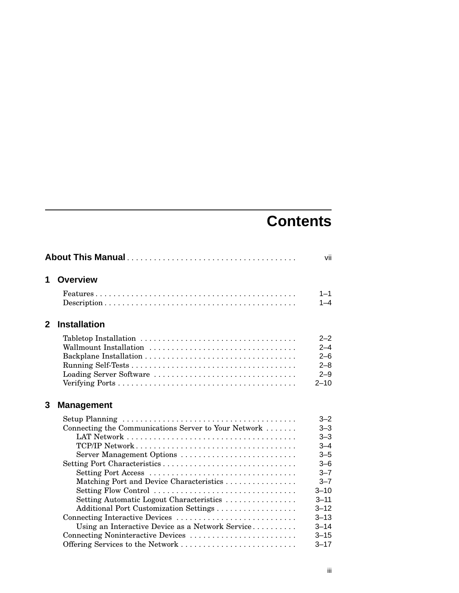# **Contents**

|              |                                                                                                                                                                                                                                                                                                                                                                   | vii                                                                                                                                              |
|--------------|-------------------------------------------------------------------------------------------------------------------------------------------------------------------------------------------------------------------------------------------------------------------------------------------------------------------------------------------------------------------|--------------------------------------------------------------------------------------------------------------------------------------------------|
| 1            | <b>Overview</b>                                                                                                                                                                                                                                                                                                                                                   |                                                                                                                                                  |
|              |                                                                                                                                                                                                                                                                                                                                                                   | $1 - 1$<br>$1 - 4$                                                                                                                               |
| $\mathbf{2}$ | <b>Installation</b>                                                                                                                                                                                                                                                                                                                                               |                                                                                                                                                  |
|              | Wallmount Installation<br>Loading Server Software                                                                                                                                                                                                                                                                                                                 | $2 - 2$<br>$2 - 4$<br>$2 - 6$<br>$2 - 8$<br>$2 - 9$<br>$2 - 10$                                                                                  |
| 3            | <b>Management</b>                                                                                                                                                                                                                                                                                                                                                 |                                                                                                                                                  |
|              | Connecting the Communications Server to Your Network<br>Server Management Options<br>Setting Port Characteristics<br>Matching Port and Device Characteristics<br>Setting Flow Control<br>Setting Automatic Logout Characteristics<br>Additional Port Customization Settings<br>Connecting Interactive Devices<br>Using an Interactive Device as a Network Service | $3 - 2$<br>$3 - 3$<br>$3 - 3$<br>$3 - 4$<br>$3 - 5$<br>$3 - 6$<br>$3 - 7$<br>$3 - 7$<br>$3 - 10$<br>$3 - 11$<br>$3 - 12$<br>$3 - 13$<br>$3 - 14$ |
|              | Connecting Noninteractive Devices<br>Offering Services to the Network                                                                                                                                                                                                                                                                                             | $3 - 15$<br>$3 - 17$                                                                                                                             |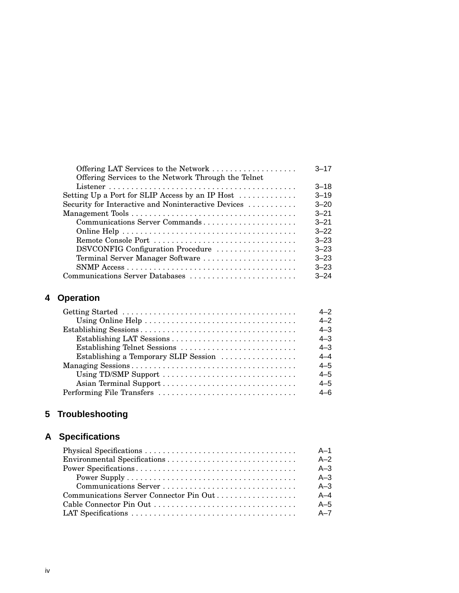| Offering LAT Services to the Network                                | $3 - 17$ |
|---------------------------------------------------------------------|----------|
| Offering Services to the Network Through the Telnet                 |          |
|                                                                     | $3 - 18$ |
| Setting Up a Port for SLIP Access by an IP Host $\dots \dots \dots$ | $3 - 19$ |
| Security for Interactive and Noninteractive Devices                 | $3 - 20$ |
|                                                                     | $3 - 21$ |
| Communications Server Commands                                      | $3 - 21$ |
|                                                                     | $3 - 22$ |
|                                                                     | $3 - 23$ |
| DSVCONFIG Configuration Procedure                                   | $3 - 23$ |
| Terminal Server Manager Software                                    | $3 - 23$ |
|                                                                     | $3 - 23$ |
| Communications Server Databases                                     | $3 - 24$ |

## **4 Operation**

|                                       | $4 - 2$ |
|---------------------------------------|---------|
|                                       | $4 - 2$ |
|                                       | $4 - 3$ |
|                                       | $4 - 3$ |
| Establishing Telnet Sessions          | $4 - 3$ |
| Establishing a Temporary SLIP Session | $4 - 4$ |
|                                       | $4 - 5$ |
|                                       | $4 - 5$ |
|                                       | $4 - 5$ |
| Performing File Transfers             | 4–6     |

## **5 Troubleshooting**

## **A Specifications**

| $A-1$   |
|---------|
| $A-2$   |
| $A - 3$ |
| $A - 3$ |
| $A - 3$ |
| $A - 4$ |
| $A-5$   |
| A-7     |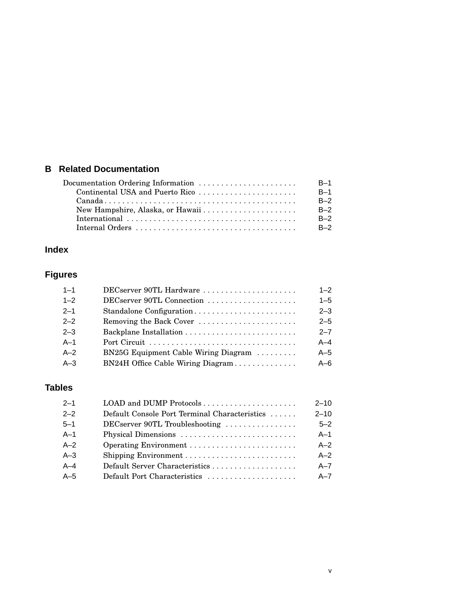## **B Related Documentation**

| $B-1$                           |       |
|---------------------------------|-------|
| Continental USA and Puerto Rico | $R-1$ |
|                                 | $R-2$ |
|                                 | $B-2$ |
|                                 | $B-2$ |
|                                 | $B-2$ |

## **Index**

## **Figures**

| $1 - 1$ | DECserver 90TL Hardware              | $1 - 2$ |
|---------|--------------------------------------|---------|
| $1 - 2$ | DECserver 90TL Connection            | $1 - 5$ |
| $2 - 1$ | Standalone Configuration             | $2 - 3$ |
| $2 - 2$ | Removing the Back Cover              | $2 - 5$ |
| $2 - 3$ |                                      | $2 - 7$ |
| $A-1$   |                                      | $A - 4$ |
| $A-2$   | BN25G Equipment Cable Wiring Diagram | $A-5$   |
| $A-3$   | BN24H Office Cable Wiring Diagram    | $A - 6$ |

## **Tables**

| $2 - 1$ | LOAD and DUMP Protocols                       | $2 - 10$ |
|---------|-----------------------------------------------|----------|
| $2 - 2$ | Default Console Port Terminal Characteristics | $2 - 10$ |
| $5 - 1$ | DECserver 90TL Troubleshooting                | $5 - 2$  |
| $A-1$   |                                               | $A-1$    |
| $A-2$   |                                               | $A - 2$  |
| $A-3$   | Shipping Environment                          | $A - 2$  |
| $A-4$   |                                               | $A - 7$  |
| $A-5$   | Default Port Characteristics                  | $A - 7$  |
|         |                                               |          |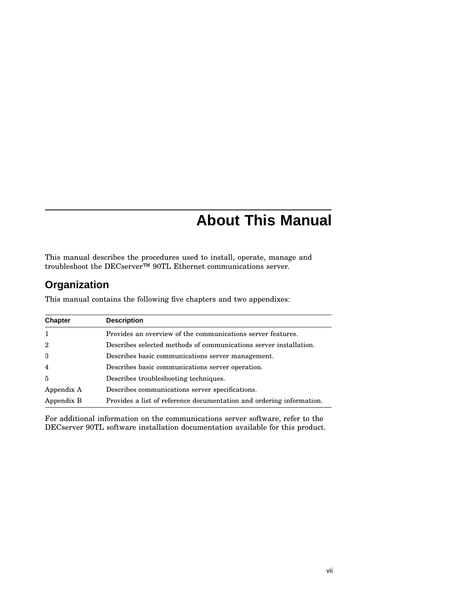## **About This Manual**

This manual describes the procedures used to install, operate, manage and troubleshoot the DECserver™ 90TL Ethernet communications server.

## **Organization**

This manual contains the following five chapters and two appendixes:

| <b>Chapter</b> | <b>Description</b>                                                   |  |
|----------------|----------------------------------------------------------------------|--|
| -1             | Provides an overview of the communications server features.          |  |
| $\overline{2}$ | Describes selected methods of communications server installation.    |  |
| 3              | Describes basic communications server management.                    |  |
| $\overline{4}$ | Describes basic communications server operation.                     |  |
| $\overline{5}$ | Describes troubleshooting techniques.                                |  |
| Appendix A     | Describes communications server specifications.                      |  |
| Appendix B     | Provides a list of reference documentation and ordering information. |  |

For additional information on the communications server software, refer to the DECserver 90TL software installation documentation available for this product.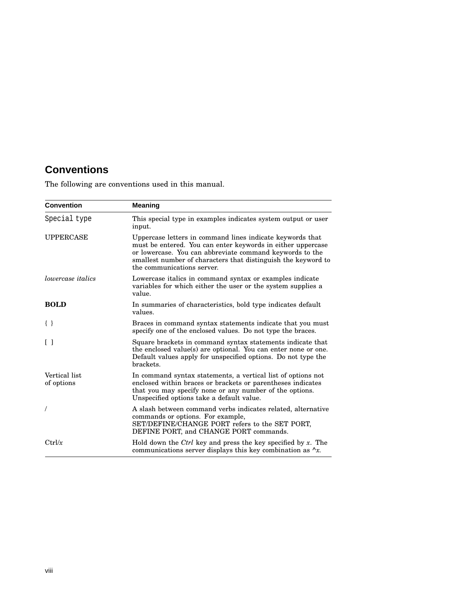## **Conventions**

The following are conventions used in this manual.

| <b>Convention</b>           | Meaning                                                                                                                                                                                                                                                                             |  |
|-----------------------------|-------------------------------------------------------------------------------------------------------------------------------------------------------------------------------------------------------------------------------------------------------------------------------------|--|
| Special type                | This special type in examples indicates system output or user<br>input.                                                                                                                                                                                                             |  |
| <b>UPPERCASE</b>            | Uppercase letters in command lines indicate keywords that<br>must be entered. You can enter keywords in either uppercase<br>or lowercase. You can abbreviate command keywords to the<br>smallest number of characters that distinguish the keyword to<br>the communications server. |  |
| <i>lowercase italics</i>    | Lowercase italics in command syntax or examples indicate<br>variables for which either the user or the system supplies a<br>value.                                                                                                                                                  |  |
| <b>BOLD</b>                 | In summaries of characteristics, bold type indicates default<br>values.                                                                                                                                                                                                             |  |
| $\{\ \}$                    | Braces in command syntax statements indicate that you must<br>specify one of the enclosed values. Do not type the braces.                                                                                                                                                           |  |
| $\Box$                      | Square brackets in command syntax statements indicate that<br>the enclosed value(s) are optional. You can enter none or one.<br>Default values apply for unspecified options. Do not type the<br>brackets.                                                                          |  |
| Vertical list<br>of options | In command syntax statements, a vertical list of options not<br>enclosed within braces or brackets or parentheses indicates<br>that you may specify none or any number of the options.<br>Unspecified options take a default value.                                                 |  |
| $\prime$                    | A slash between command verbs indicates related, alternative<br>commands or options. For example,<br>SET/DEFINE/CHANGE PORT refers to the SET PORT,<br>DEFINE PORT, and CHANGE PORT commands.                                                                                       |  |
| Ctrl/x                      | Hold down the Ctrl key and press the key specified by $x$ . The<br>communications server displays this key combination as $\lambda x$ .                                                                                                                                             |  |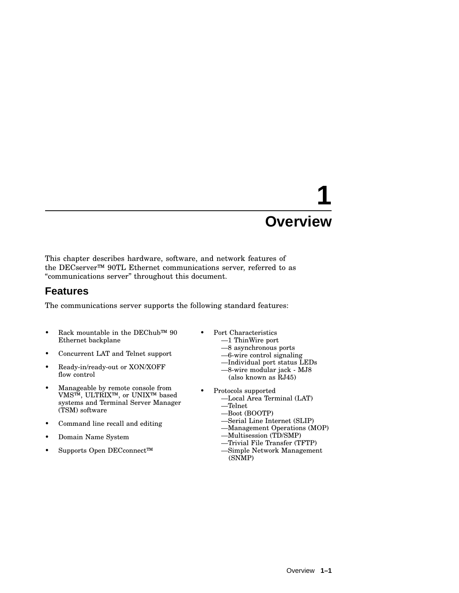This chapter describes hardware, software, and network features of the DECserver™ 90TL Ethernet communications server, referred to as ''communications server'' throughout this document.

## **Features**

The communications server supports the following standard features:

- Rack mountable in the DEChub™ 90 Ethernet backplane
- Concurrent LAT and Telnet support
- Ready-in/ready-out or XON/XOFF flow control
- Manageable by remote console from VMS™, ULTRIX™, or UNIX™ based systems and Terminal Server Manager (TSM) software
- Command line recall and editing
- Domain Name System
- Supports Open DECconnect™
- Port Characteristics
	- —1 ThinWire port
	- —8 asynchronous ports
	- —6-wire control signaling
	- —Individual port status LEDs
	- —8-wire modular jack MJ8 (also known as RJ45)
- Protocols supported
	- —Local Area Terminal (LAT) —Telnet
	- —Boot (BOOTP)
	- —Serial Line Internet (SLIP)
	- —Management Operations (MOP)
	- —Multisession (TD/SMP)
	- —Trivial File Transfer (TFTP)
	- —Simple Network Management (SNMP)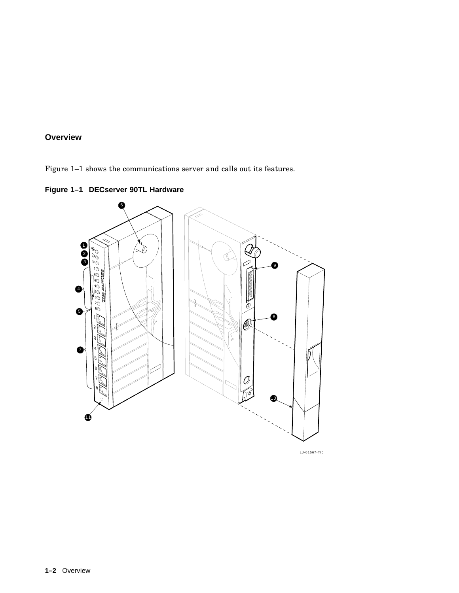Figure 1–1 shows the communications server and calls out its features.



**Figure 1–1 DECserver 90TL Hardware**

LJ-01567-TI0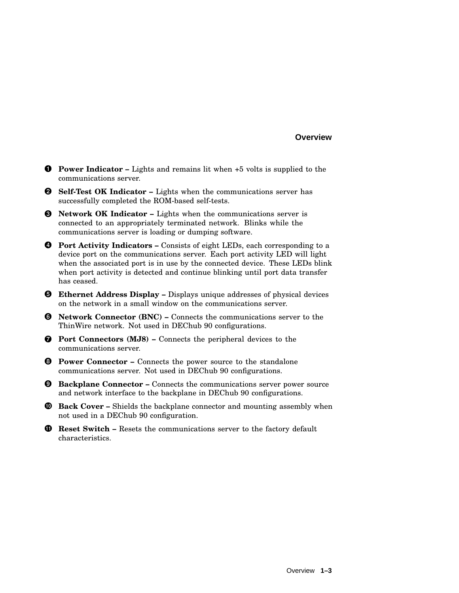- **Power Indicator –** Lights and remains lit when +5 volts is supplied to the communications server.
- **Self-Test OK Indicator –** Lights when the communications server has successfully completed the ROM-based self-tests.
- **Network OK Indicator –** Lights when the communications server is connected to an appropriately terminated network. Blinks while the communications server is loading or dumping software.
- **Port Activity Indicators –** Consists of eight LEDs, each corresponding to a device port on the communications server. Each port activity LED will light when the associated port is in use by the connected device. These LEDs blink when port activity is detected and continue blinking until port data transfer has ceased.
- **Ethernet Address Display –** Displays unique addresses of physical devices on the network in a small window on the communications server.
- **Network Connector (BNC) –** Connects the communications server to the ThinWire network. Not used in DEChub 90 configurations.
- **Port Connectors (MJ8) –** Connects the peripheral devices to the communications server.
- **Power Connector –** Connects the power source to the standalone communications server. Not used in DEChub 90 configurations.
- **Backplane Connector –** Connects the communications server power source and network interface to the backplane in DEChub 90 configurations.
- **Back Cover –** Shields the backplane connector and mounting assembly when not used in a DEChub 90 configuration.
- **Reset Switch –** Resets the communications server to the factory default characteristics.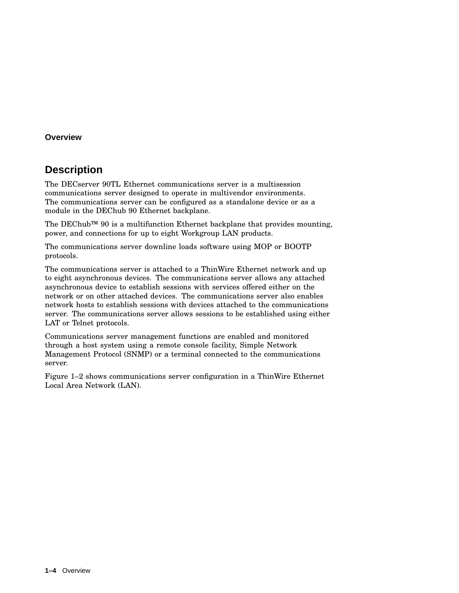## **Description**

The DECserver 90TL Ethernet communications server is a multisession communications server designed to operate in multivendor environments. The communications server can be configured as a standalone device or as a module in the DEChub 90 Ethernet backplane.

The DEChub™ 90 is a multifunction Ethernet backplane that provides mounting, power, and connections for up to eight Workgroup LAN products.

The communications server downline loads software using MOP or BOOTP protocols.

The communications server is attached to a ThinWire Ethernet network and up to eight asynchronous devices. The communications server allows any attached asynchronous device to establish sessions with services offered either on the network or on other attached devices. The communications server also enables network hosts to establish sessions with devices attached to the communications server. The communications server allows sessions to be established using either LAT or Telnet protocols.

Communications server management functions are enabled and monitored through a host system using a remote console facility, Simple Network Management Protocol (SNMP) or a terminal connected to the communications server.

Figure 1–2 shows communications server configuration in a ThinWire Ethernet Local Area Network (LAN).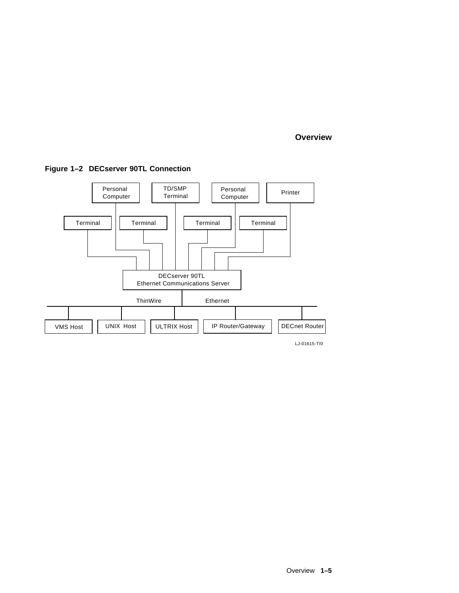

#### **Figure 1–2 DECserver 90TL Connection**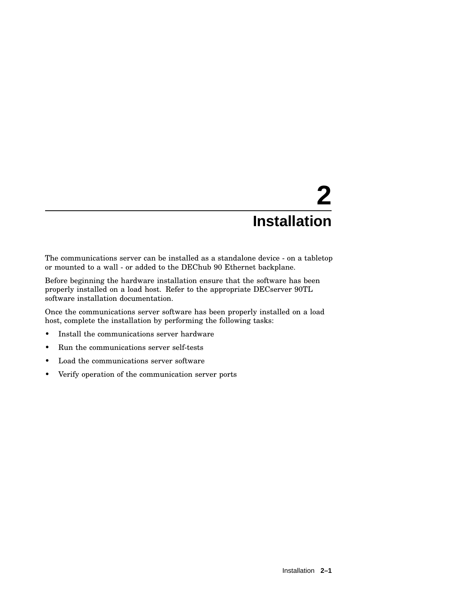The communications server can be installed as a standalone device - on a tabletop or mounted to a wall - or added to the DEChub 90 Ethernet backplane.

Before beginning the hardware installation ensure that the software has been properly installed on a load host. Refer to the appropriate DECserver 90TL software installation documentation.

Once the communications server software has been properly installed on a load host, complete the installation by performing the following tasks:

- Install the communications server hardware
- Run the communications server self-tests
- Load the communications server software
- Verify operation of the communication server ports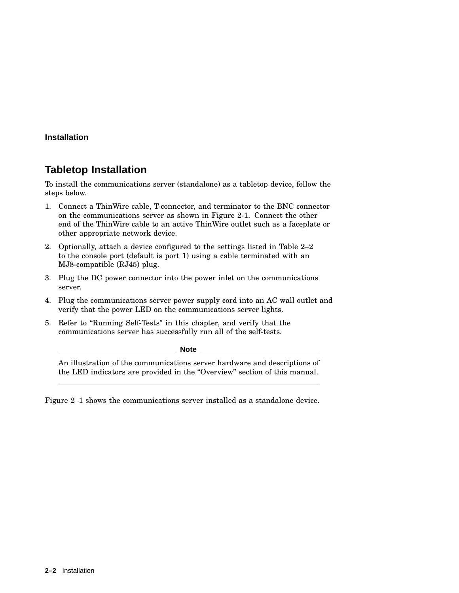## **Tabletop Installation**

To install the communications server (standalone) as a tabletop device, follow the steps below.

- 1. Connect a ThinWire cable, T-connector, and terminator to the BNC connector on the communications server as shown in Figure 2-1. Connect the other end of the ThinWire cable to an active ThinWire outlet such as a faceplate or other appropriate network device.
- 2. Optionally, attach a device configured to the settings listed in Table 2–2 to the console port (default is port 1) using a cable terminated with an MJ8-compatible (RJ45) plug.
- 3. Plug the DC power connector into the power inlet on the communications server.
- 4. Plug the communications server power supply cord into an AC wall outlet and verify that the power LED on the communications server lights.
- 5. Refer to ''Running Self-Tests'' in this chapter, and verify that the communications server has successfully run all of the self-tests.

**Note** 2008. **Note** 2008. **Note** 2008. **Note** 2008. **Note** 2008. **Note** 2008. **Note** 2008. **Note: 2008. <b>Note: 2008. Note: 2008.** 

An illustration of the communications server hardware and descriptions of the LED indicators are provided in the ''Overview'' section of this manual.

Figure 2–1 shows the communications server installed as a standalone device.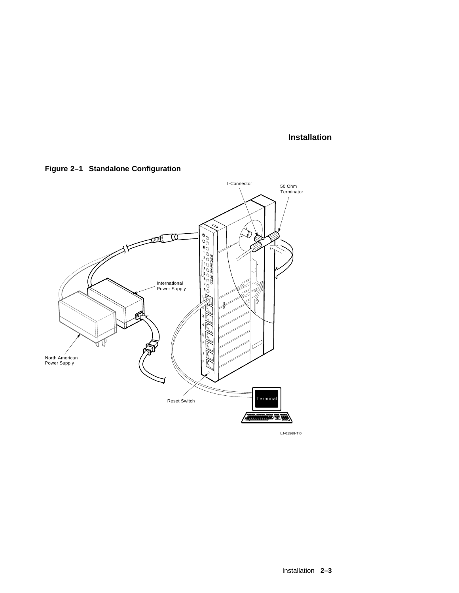**Figure 2–1 Standalone Configuration**



LJ-01568-TI0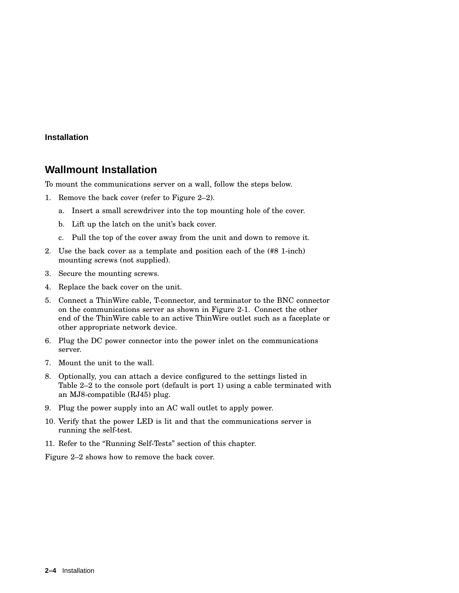## **Wallmount Installation**

To mount the communications server on a wall, follow the steps below.

- 1. Remove the back cover (refer to Figure 2–2).
	- a. Insert a small screwdriver into the top mounting hole of the cover.
	- b. Lift up the latch on the unit's back cover.
	- c. Pull the top of the cover away from the unit and down to remove it.
- 2. Use the back cover as a template and position each of the (#8 1-inch) mounting screws (not supplied).
- 3. Secure the mounting screws.
- 4. Replace the back cover on the unit.
- 5. Connect a ThinWire cable, T-connector, and terminator to the BNC connector on the communications server as shown in Figure 2-1. Connect the other end of the ThinWire cable to an active ThinWire outlet such as a faceplate or other appropriate network device.
- 6. Plug the DC power connector into the power inlet on the communications server.
- 7. Mount the unit to the wall.
- 8. Optionally, you can attach a device configured to the settings listed in Table 2–2 to the console port (default is port 1) using a cable terminated with an MJ8-compatible (RJ45) plug.
- 9. Plug the power supply into an AC wall outlet to apply power.
- 10. Verify that the power LED is lit and that the communications server is running the self-test.
- 11. Refer to the ''Running Self-Tests'' section of this chapter.

Figure 2–2 shows how to remove the back cover.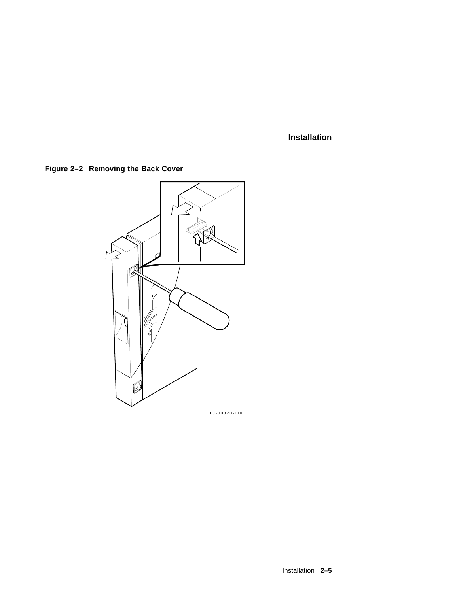**Figure 2–2 Removing the Back Cover**



LJ-00320-TI0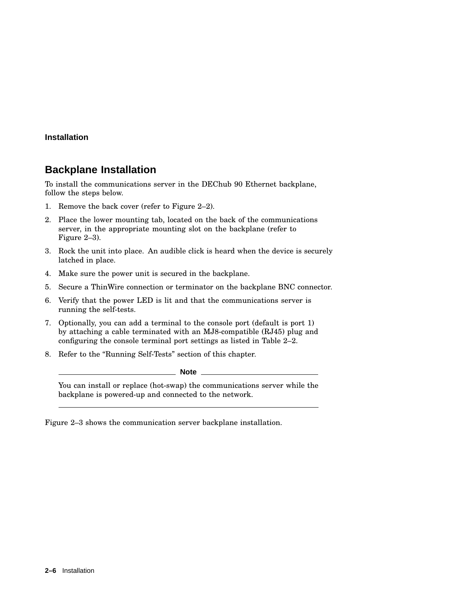## **Backplane Installation**

To install the communications server in the DEChub 90 Ethernet backplane, follow the steps below.

- 1. Remove the back cover (refer to Figure 2–2).
- 2. Place the lower mounting tab, located on the back of the communications server, in the appropriate mounting slot on the backplane (refer to Figure 2–3).
- 3. Rock the unit into place. An audible click is heard when the device is securely latched in place.
- 4. Make sure the power unit is secured in the backplane.
- 5. Secure a ThinWire connection or terminator on the backplane BNC connector.
- 6. Verify that the power LED is lit and that the communications server is running the self-tests.
- 7. Optionally, you can add a terminal to the console port (default is port 1) by attaching a cable terminated with an MJ8-compatible (RJ45) plug and configuring the console terminal port settings as listed in Table 2–2.
- 8. Refer to the ''Running Self-Tests'' section of this chapter.

**Note**

You can install or replace (hot-swap) the communications server while the backplane is powered-up and connected to the network.

Figure 2–3 shows the communication server backplane installation.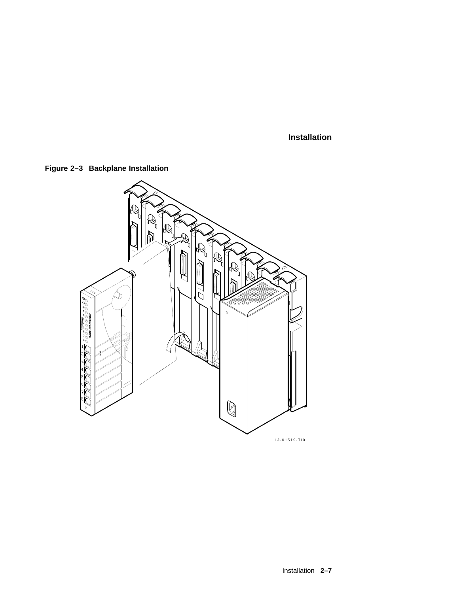

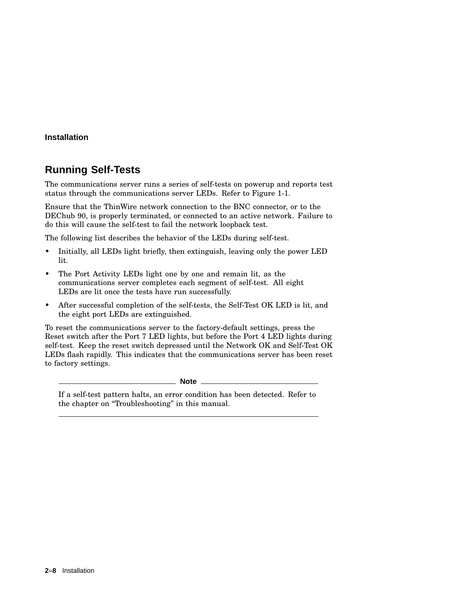## **Running Self-Tests**

The communications server runs a series of self-tests on powerup and reports test status through the communications server LEDs. Refer to Figure 1-1.

Ensure that the ThinWire network connection to the BNC connector, or to the DEChub 90, is properly terminated, or connected to an active network. Failure to do this will cause the self-test to fail the network loopback test.

The following list describes the behavior of the LEDs during self-test.

- Initially, all LEDs light briefly, then extinguish, leaving only the power LED lit.
- The Port Activity LEDs light one by one and remain lit, as the communications server completes each segment of self-test. All eight LEDs are lit once the tests have run successfully.
- After successful completion of the self-tests, the Self-Test OK LED is lit, and the eight port LEDs are extinguished.

To reset the communications server to the factory-default settings, press the Reset switch after the Port 7 LED lights, but before the Port 4 LED lights during self-test. Keep the reset switch depressed until the Network OK and Self-Test OK LEDs flash rapidly. This indicates that the communications server has been reset to factory settings.

**Note**

If a self-test pattern halts, an error condition has been detected. Refer to the chapter on ''Troubleshooting'' in this manual.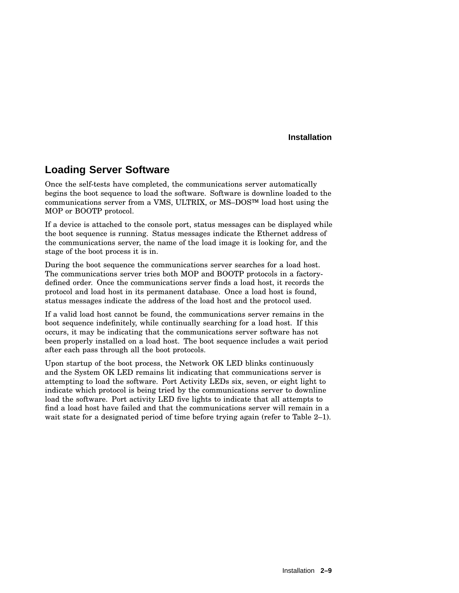## **Loading Server Software**

Once the self-tests have completed, the communications server automatically begins the boot sequence to load the software. Software is downline loaded to the communications server from a VMS, ULTRIX, or  $MS-DOS^{TM}$  load host using the MOP or BOOTP protocol.

If a device is attached to the console port, status messages can be displayed while the boot sequence is running. Status messages indicate the Ethernet address of the communications server, the name of the load image it is looking for, and the stage of the boot process it is in.

During the boot sequence the communications server searches for a load host. The communications server tries both MOP and BOOTP protocols in a factorydefined order. Once the communications server finds a load host, it records the protocol and load host in its permanent database. Once a load host is found, status messages indicate the address of the load host and the protocol used.

If a valid load host cannot be found, the communications server remains in the boot sequence indefinitely, while continually searching for a load host. If this occurs, it may be indicating that the communications server software has not been properly installed on a load host. The boot sequence includes a wait period after each pass through all the boot protocols.

Upon startup of the boot process, the Network OK LED blinks continuously and the System OK LED remains lit indicating that communications server is attempting to load the software. Port Activity LEDs six, seven, or eight light to indicate which protocol is being tried by the communications server to downline load the software. Port activity LED five lights to indicate that all attempts to find a load host have failed and that the communications server will remain in a wait state for a designated period of time before trying again (refer to Table 2–1).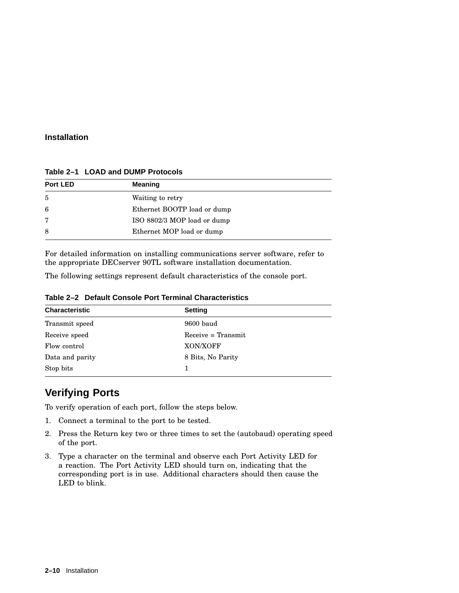| Port LED | <b>Meaning</b>              |  |
|----------|-----------------------------|--|
| 5        | Waiting to retry            |  |
| 6        | Ethernet BOOTP load or dump |  |
| 7        | ISO 8802/3 MOP load or dump |  |
| 8        | Ethernet MOP load or dump   |  |

**Table 2–1 LOAD and DUMP Protocols**

For detailed information on installing communications server software, refer to the appropriate DECserver 90TL software installation documentation.

The following settings represent default characteristics of the console port.

| <b>Characteristic</b> | <b>Setting</b>       |
|-----------------------|----------------------|
| Transmit speed        | 9600 baud            |
| Receive speed         | $Receive = Transmit$ |
| Flow control          | XON/XOFF             |
| Data and parity       | 8 Bits, No Parity    |
| Stop bits             |                      |

**Table 2–2 Default Console Port Terminal Characteristics**

## **Verifying Ports**

To verify operation of each port, follow the steps below.

- 1. Connect a terminal to the port to be tested.
- 2. Press the Return key two or three times to set the (autobaud) operating speed of the port.
- 3. Type a character on the terminal and observe each Port Activity LED for a reaction. The Port Activity LED should turn on, indicating that the corresponding port is in use. Additional characters should then cause the LED to blink.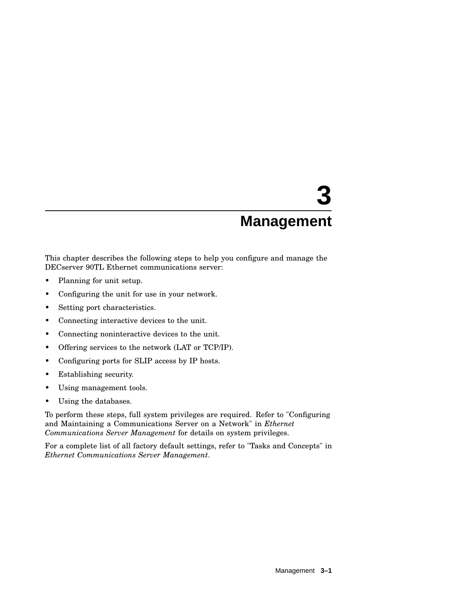This chapter describes the following steps to help you configure and manage the DECserver 90TL Ethernet communications server:

- Planning for unit setup.
- Configuring the unit for use in your network.
- Setting port characteristics.
- Connecting interactive devices to the unit.
- Connecting noninteractive devices to the unit.
- Offering services to the network (LAT or TCP/IP).
- Configuring ports for SLIP access by IP hosts.
- Establishing security.
- Using management tools.
- Using the databases.

To perform these steps, full system privileges are required. Refer to "Configuring and Maintaining a Communications Server on a Network" in *Ethernet Communications Server Management* for details on system privileges.

For a complete list of all factory default settings, refer to "Tasks and Concepts" in *Ethernet Communications Server Management*.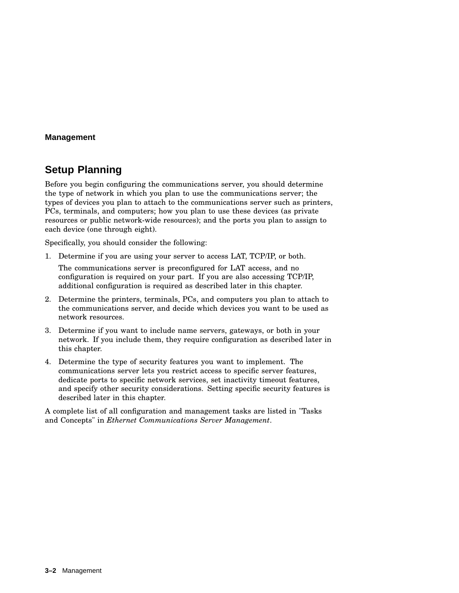## **Setup Planning**

Before you begin configuring the communications server, you should determine the type of network in which you plan to use the communications server; the types of devices you plan to attach to the communications server such as printers, PCs, terminals, and computers; how you plan to use these devices (as private resources or public network-wide resources); and the ports you plan to assign to each device (one through eight).

Specifically, you should consider the following:

1. Determine if you are using your server to access LAT, TCP/IP, or both.

The communications server is preconfigured for LAT access, and no configuration is required on your part. If you are also accessing TCP/IP, additional configuration is required as described later in this chapter.

- 2. Determine the printers, terminals, PCs, and computers you plan to attach to the communications server, and decide which devices you want to be used as network resources.
- 3. Determine if you want to include name servers, gateways, or both in your network. If you include them, they require configuration as described later in this chapter.
- 4. Determine the type of security features you want to implement. The communications server lets you restrict access to specific server features, dedicate ports to specific network services, set inactivity timeout features, and specify other security considerations. Setting specific security features is described later in this chapter.

A complete list of all configuration and management tasks are listed in "Tasks and Concepts" in *Ethernet Communications Server Management*.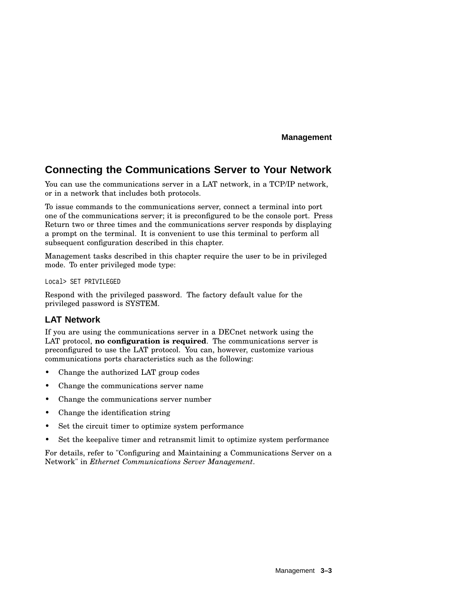## **Connecting the Communications Server to Your Network**

You can use the communications server in a LAT network, in a TCP/IP network, or in a network that includes both protocols.

To issue commands to the communications server, connect a terminal into port one of the communications server; it is preconfigured to be the console port. Press Return two or three times and the communications server responds by displaying a prompt on the terminal. It is convenient to use this terminal to perform all subsequent configuration described in this chapter.

Management tasks described in this chapter require the user to be in privileged mode. To enter privileged mode type:

Local> SET PRIVILEGED

Respond with the privileged password. The factory default value for the privileged password is SYSTEM.

#### **LAT Network**

If you are using the communications server in a DECnet network using the LAT protocol, **no configuration is required**. The communications server is preconfigured to use the LAT protocol. You can, however, customize various communications ports characteristics such as the following:

- Change the authorized LAT group codes
- Change the communications server name
- Change the communications server number
- Change the identification string
- Set the circuit timer to optimize system performance
- Set the keepalive timer and retransmit limit to optimize system performance

For details, refer to "Configuring and Maintaining a Communications Server on a Network" in *Ethernet Communications Server Management*.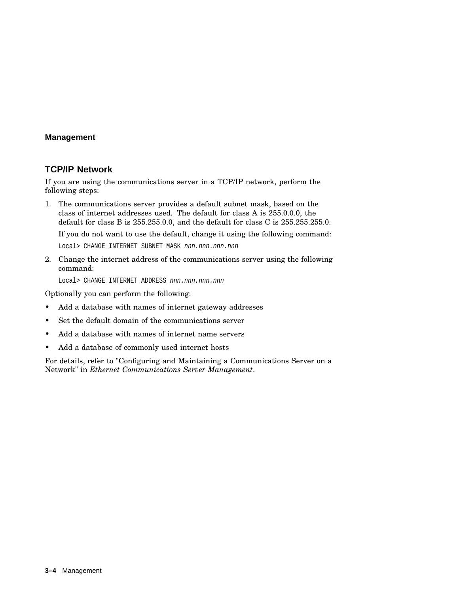#### **TCP/IP Network**

If you are using the communications server in a TCP/IP network, perform the following steps:

1. The communications server provides a default subnet mask, based on the class of internet addresses used. The default for class A is 255.0.0.0, the default for class B is 255.255.0.0, and the default for class C is 255.255.255.0.

If you do not want to use the default, change it using the following command:

Local> CHANGE INTERNET SUBNET MASK nnn.nnn.nnn.nnn

2. Change the internet address of the communications server using the following command:

Local> CHANGE INTERNET ADDRESS nnn.nnn.nnn.nnn

Optionally you can perform the following:

- Add a database with names of internet gateway addresses
- Set the default domain of the communications server
- Add a database with names of internet name servers
- Add a database of commonly used internet hosts

For details, refer to "Configuring and Maintaining a Communications Server on a Network" in *Ethernet Communications Server Management*.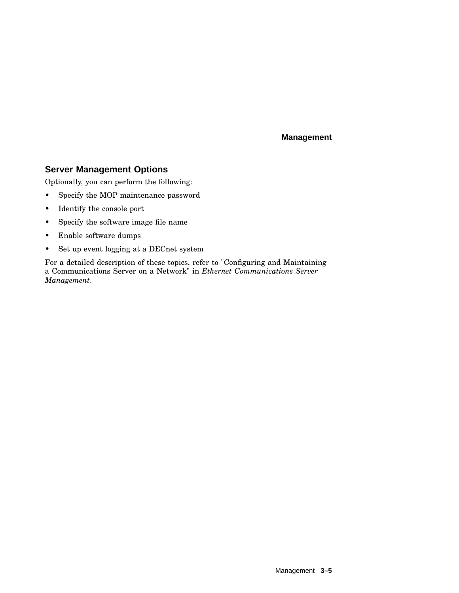### **Server Management Options**

Optionally, you can perform the following:

- Specify the MOP maintenance password
- Identify the console port
- Specify the software image file name
- Enable software dumps
- Set up event logging at a DECnet system

For a detailed description of these topics, refer to "Configuring and Maintaining a Communications Server on a Network" in *Ethernet Communications Server Management*.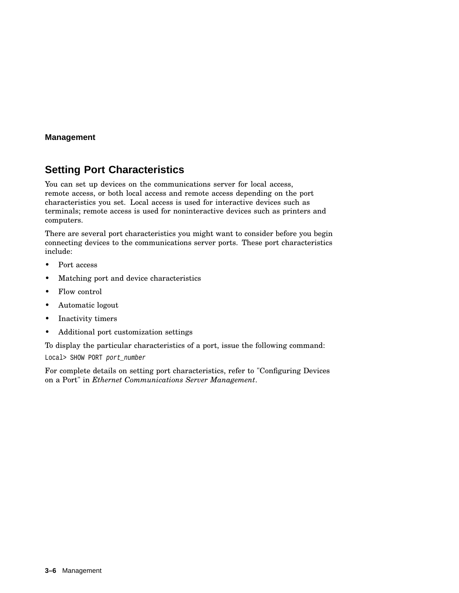## **Setting Port Characteristics**

You can set up devices on the communications server for local access, remote access, or both local access and remote access depending on the port characteristics you set. Local access is used for interactive devices such as terminals; remote access is used for noninteractive devices such as printers and computers.

There are several port characteristics you might want to consider before you begin connecting devices to the communications server ports. These port characteristics include:

- Port access
- Matching port and device characteristics
- Flow control
- Automatic logout
- Inactivity timers
- Additional port customization settings

To display the particular characteristics of a port, issue the following command:

Local> SHOW PORT port number

For complete details on setting port characteristics, refer to "Configuring Devices on a Port" in *Ethernet Communications Server Management*.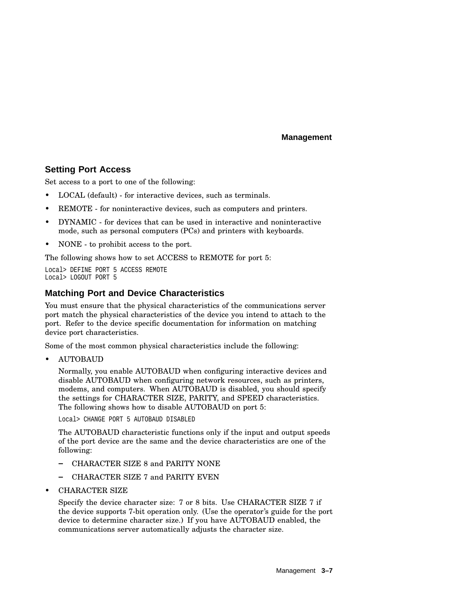#### **Setting Port Access**

Set access to a port to one of the following:

- LOCAL (default) for interactive devices, such as terminals.
- REMOTE for noninteractive devices, such as computers and printers.
- DYNAMIC for devices that can be used in interactive and noninteractive mode, such as personal computers (PCs) and printers with keyboards.
- NONE to prohibit access to the port.

The following shows how to set ACCESS to REMOTE for port 5:

Local> DEFINE PORT 5 ACCESS REMOTE Local> LOGOUT PORT 5

## **Matching Port and Device Characteristics**

You must ensure that the physical characteristics of the communications server port match the physical characteristics of the device you intend to attach to the port. Refer to the device specific documentation for information on matching device port characteristics.

Some of the most common physical characteristics include the following:

• AUTOBAUD

Normally, you enable AUTOBAUD when configuring interactive devices and disable AUTOBAUD when configuring network resources, such as printers, modems, and computers. When AUTOBAUD is disabled, you should specify the settings for CHARACTER SIZE, PARITY, and SPEED characteristics. The following shows how to disable AUTOBAUD on port 5:

Local> CHANGE PORT 5 AUTOBAUD DISABLED

The AUTOBAUD characteristic functions only if the input and output speeds of the port device are the same and the device characteristics are one of the following:

- CHARACTER SIZE 8 and PARITY NONE
- CHARACTER SIZE 7 and PARITY EVEN
- CHARACTER SIZE

Specify the device character size: 7 or 8 bits. Use CHARACTER SIZE 7 if the device supports 7-bit operation only. (Use the operator's guide for the port device to determine character size.) If you have AUTOBAUD enabled, the communications server automatically adjusts the character size.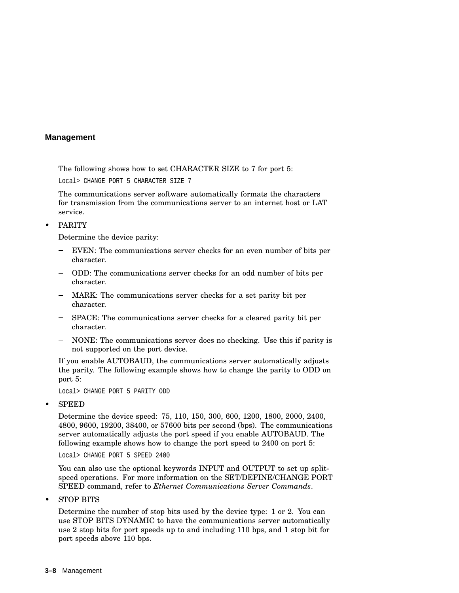The following shows how to set CHARACTER SIZE to 7 for port 5:

Local> CHANGE PORT 5 CHARACTER SIZE 7

The communications server software automatically formats the characters for transmission from the communications server to an internet host or LAT service.

#### • PARITY

Determine the device parity:

- EVEN: The communications server checks for an even number of bits per  $\equiv$ character.
- ODD: The communications server checks for an odd number of bits per character.
- MARK: The communications server checks for a set parity bit per character.
- SPACE: The communications server checks for a cleared parity bit per character.
- NONE: The communications server does no checking. Use this if parity is not supported on the port device.

If you enable AUTOBAUD, the communications server automatically adjusts the parity. The following example shows how to change the parity to ODD on port 5:

Local> CHANGE PORT 5 PARITY ODD

• SPEED

Determine the device speed: 75, 110, 150, 300, 600, 1200, 1800, 2000, 2400, 4800, 9600, 19200, 38400, or 57600 bits per second (bps). The communications server automatically adjusts the port speed if you enable AUTOBAUD. The following example shows how to change the port speed to 2400 on port 5:

Local> CHANGE PORT 5 SPEED 2400

You can also use the optional keywords INPUT and OUTPUT to set up splitspeed operations. For more information on the SET/DEFINE/CHANGE PORT SPEED command, refer to *Ethernet Communications Server Commands*.

• STOP BITS

Determine the number of stop bits used by the device type: 1 or 2. You can use STOP BITS DYNAMIC to have the communications server automatically use 2 stop bits for port speeds up to and including 110 bps, and 1 stop bit for port speeds above 110 bps.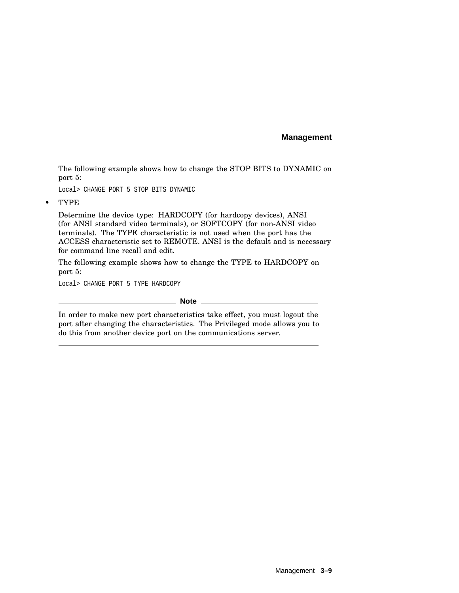The following example shows how to change the STOP BITS to DYNAMIC on port 5:

Local> CHANGE PORT 5 STOP BITS DYNAMIC

• TYPE

Determine the device type: HARDCOPY (for hardcopy devices), ANSI (for ANSI standard video terminals), or SOFTCOPY (for non-ANSI video terminals). The TYPE characteristic is not used when the port has the ACCESS characteristic set to REMOTE. ANSI is the default and is necessary for command line recall and edit.

The following example shows how to change the TYPE to HARDCOPY on port 5:

Local> CHANGE PORT 5 TYPE HARDCOPY

#### **Note**

In order to make new port characteristics take effect, you must logout the port after changing the characteristics. The Privileged mode allows you to do this from another device port on the communications server.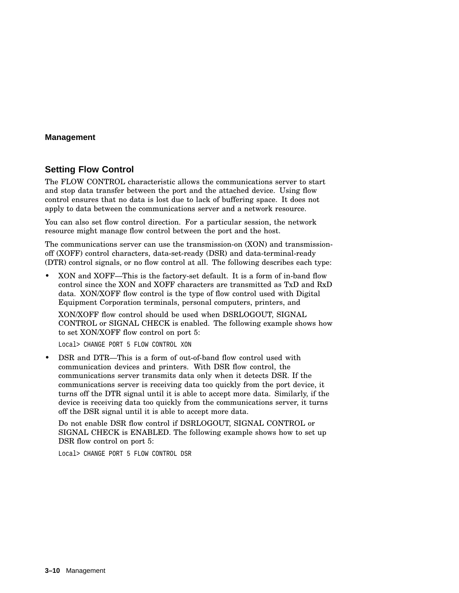#### **Setting Flow Control**

The FLOW CONTROL characteristic allows the communications server to start and stop data transfer between the port and the attached device. Using flow control ensures that no data is lost due to lack of buffering space. It does not apply to data between the communications server and a network resource.

You can also set flow control direction. For a particular session, the network resource might manage flow control between the port and the host.

The communications server can use the transmission-on (XON) and transmissionoff (XOFF) control characters, data-set-ready (DSR) and data-terminal-ready (DTR) control signals, or no flow control at all. The following describes each type:

• XON and XOFF—This is the factory-set default. It is a form of in-band flow control since the XON and XOFF characters are transmitted as TxD and RxD data. XON/XOFF flow control is the type of flow control used with Digital Equipment Corporation terminals, personal computers, printers, and

XON/XOFF flow control should be used when DSRLOGOUT, SIGNAL CONTROL or SIGNAL CHECK is enabled. The following example shows how to set XON/XOFF flow control on port 5:

Local> CHANGE PORT 5 FLOW CONTROL XON

• DSR and DTR—This is a form of out-of-band flow control used with communication devices and printers. With DSR flow control, the communications server transmits data only when it detects DSR. If the communications server is receiving data too quickly from the port device, it turns off the DTR signal until it is able to accept more data. Similarly, if the device is receiving data too quickly from the communications server, it turns off the DSR signal until it is able to accept more data.

Do not enable DSR flow control if DSRLOGOUT, SIGNAL CONTROL or SIGNAL CHECK is ENABLED. The following example shows how to set up DSR flow control on port 5:

Local> CHANGE PORT 5 FLOW CONTROL DSR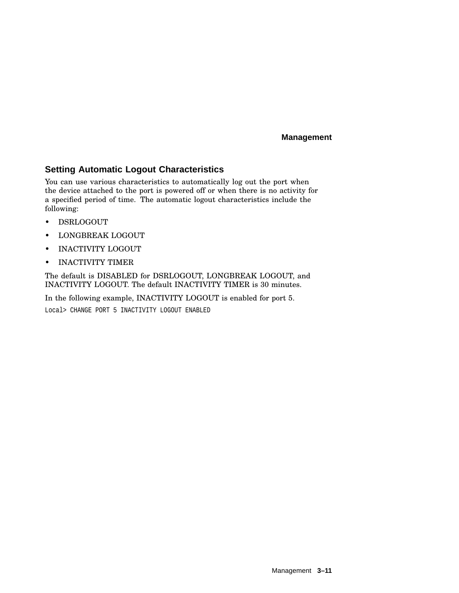### **Setting Automatic Logout Characteristics**

You can use various characteristics to automatically log out the port when the device attached to the port is powered off or when there is no activity for a specified period of time. The automatic logout characteristics include the following:

- DSRLOGOUT
- LONGBREAK LOGOUT
- INACTIVITY LOGOUT
- INACTIVITY TIMER

The default is DISABLED for DSRLOGOUT, LONGBREAK LOGOUT, and INACTIVITY LOGOUT. The default INACTIVITY TIMER is 30 minutes.

In the following example, INACTIVITY LOGOUT is enabled for port 5.

Local> CHANGE PORT 5 INACTIVITY LOGOUT ENABLED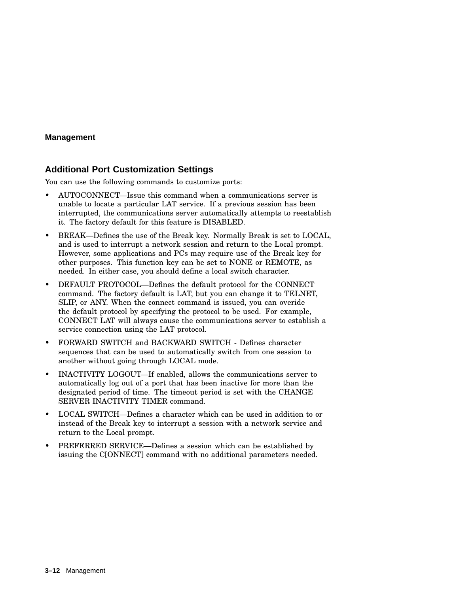### **Additional Port Customization Settings**

You can use the following commands to customize ports:

- AUTOCONNECT—Issue this command when a communications server is unable to locate a particular LAT service. If a previous session has been interrupted, the communications server automatically attempts to reestablish it. The factory default for this feature is DISABLED.
- BREAK—Defines the use of the Break key. Normally Break is set to LOCAL, and is used to interrupt a network session and return to the Local prompt. However, some applications and PCs may require use of the Break key for other purposes. This function key can be set to NONE or REMOTE, as needed. In either case, you should define a local switch character.
- DEFAULT PROTOCOL—Defines the default protocol for the CONNECT command. The factory default is LAT, but you can change it to TELNET, SLIP, or ANY. When the connect command is issued, you can overide the default protocol by specifying the protocol to be used. For example, CONNECT LAT will always cause the communications server to establish a service connection using the LAT protocol.
- FORWARD SWITCH and BACKWARD SWITCH Defines character sequences that can be used to automatically switch from one session to another without going through LOCAL mode.
- INACTIVITY LOGOUT—If enabled, allows the communications server to automatically log out of a port that has been inactive for more than the designated period of time. The timeout period is set with the CHANGE SERVER INACTIVITY TIMER command.
- LOCAL SWITCH—Defines a character which can be used in addition to or instead of the Break key to interrupt a session with a network service and return to the Local prompt.
- PREFERRED SERVICE—Defines a session which can be established by issuing the C[ONNECT] command with no additional parameters needed.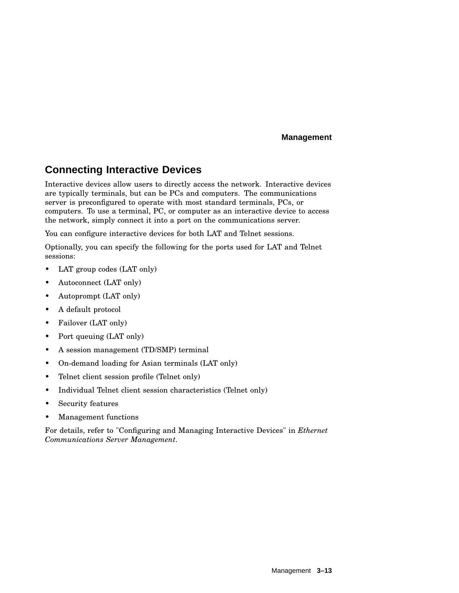## **Connecting Interactive Devices**

Interactive devices allow users to directly access the network. Interactive devices are typically terminals, but can be PCs and computers. The communications server is preconfigured to operate with most standard terminals, PCs, or computers. To use a terminal, PC, or computer as an interactive device to access the network, simply connect it into a port on the communications server.

You can configure interactive devices for both LAT and Telnet sessions.

Optionally, you can specify the following for the ports used for LAT and Telnet sessions:

- LAT group codes (LAT only)
- Autoconnect (LAT only)
- Autoprompt (LAT only)
- A default protocol
- Failover (LAT only)
- Port queuing (LAT only)
- A session management (TD/SMP) terminal
- On-demand loading for Asian terminals (LAT only)
- Telnet client session profile (Telnet only)
- Individual Telnet client session characteristics (Telnet only)
- Security features
- Management functions

For details, refer to "Configuring and Managing Interactive Devices" in *Ethernet Communications Server Management*.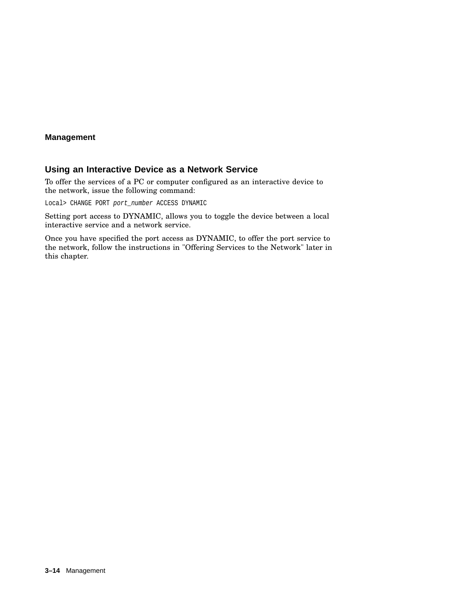## **Using an Interactive Device as a Network Service**

To offer the services of a PC or computer configured as an interactive device to the network, issue the following command:

Local> CHANGE PORT port\_number ACCESS DYNAMIC

Setting port access to DYNAMIC, allows you to toggle the device between a local interactive service and a network service.

Once you have specified the port access as DYNAMIC, to offer the port service to the network, follow the instructions in "Offering Services to the Network" later in this chapter.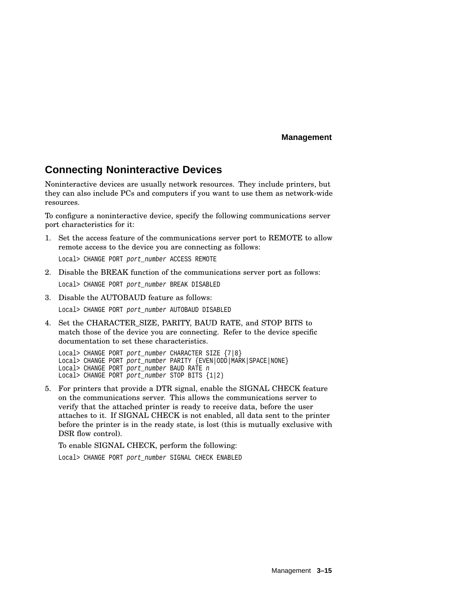# **Connecting Noninteractive Devices**

Noninteractive devices are usually network resources. They include printers, but they can also include PCs and computers if you want to use them as network-wide resources.

To configure a noninteractive device, specify the following communications server port characteristics for it:

- 1. Set the access feature of the communications server port to REMOTE to allow remote access to the device you are connecting as follows: Local> CHANGE PORT port number ACCESS REMOTE
- 2. Disable the BREAK function of the communications server port as follows: Local> CHANGE PORT port number BREAK DISABLED
- 3. Disable the AUTOBAUD feature as follows:

Local> CHANGE PORT port number AUTOBAUD DISABLED

4. Set the CHARACTER\_SIZE, PARITY, BAUD RATE, and STOP BITS to match those of the device you are connecting. Refer to the device specific documentation to set these characteristics.

Local> CHANGE PORT port\_number CHARACTER SIZE {7|8} Local> CHANGE PORT port\_number PARITY {EVEN|ODD|MARK|SPACE|NONE} Local> CHANGE PORT port\_number BAUD RATE n Local> CHANGE PORT port number STOP BITS  ${1|2}$ 

5. For printers that provide a DTR signal, enable the SIGNAL CHECK feature on the communications server. This allows the communications server to verify that the attached printer is ready to receive data, before the user attaches to it. If SIGNAL CHECK is not enabled, all data sent to the printer before the printer is in the ready state, is lost (this is mutually exclusive with DSR flow control).

To enable SIGNAL CHECK, perform the following:

Local> CHANGE PORT port\_number SIGNAL CHECK ENABLED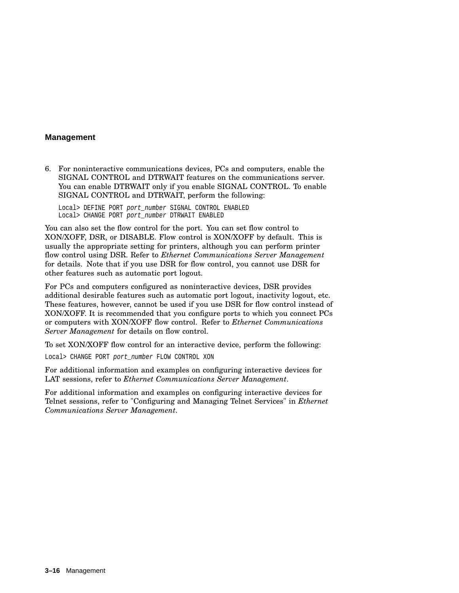6. For noninteractive communications devices, PCs and computers, enable the SIGNAL CONTROL and DTRWAIT features on the communications server. You can enable DTRWAIT only if you enable SIGNAL CONTROL. To enable SIGNAL CONTROL and DTRWAIT, perform the following:

Local> DEFINE PORT port\_number SIGNAL CONTROL ENABLED Local> CHANGE PORT port number DTRWAIT ENABLED

You can also set the flow control for the port. You can set flow control to XON/XOFF, DSR, or DISABLE. Flow control is XON/XOFF by default. This is usually the appropriate setting for printers, although you can perform printer flow control using DSR. Refer to *Ethernet Communications Server Management* for details. Note that if you use DSR for flow control, you cannot use DSR for other features such as automatic port logout.

For PCs and computers configured as noninteractive devices, DSR provides additional desirable features such as automatic port logout, inactivity logout, etc. These features, however, cannot be used if you use DSR for flow control instead of XON/XOFF. It is recommended that you configure ports to which you connect PCs or computers with XON/XOFF flow control. Refer to *Ethernet Communications Server Management* for details on flow control.

To set XON/XOFF flow control for an interactive device, perform the following:

Local> CHANGE PORT port\_number FLOW CONTROL XON

For additional information and examples on configuring interactive devices for LAT sessions, refer to *Ethernet Communications Server Management*.

For additional information and examples on configuring interactive devices for Telnet sessions, refer to "Configuring and Managing Telnet Services" in *Ethernet Communications Server Management*.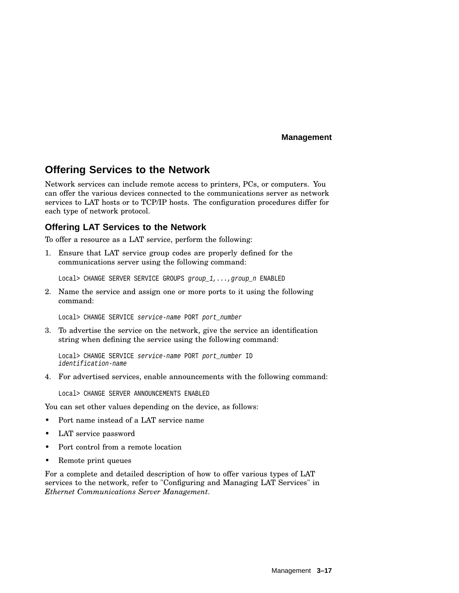# **Offering Services to the Network**

Network services can include remote access to printers, PCs, or computers. You can offer the various devices connected to the communications server as network services to LAT hosts or to TCP/IP hosts. The configuration procedures differ for each type of network protocol.

## **Offering LAT Services to the Network**

To offer a resource as a LAT service, perform the following:

1. Ensure that LAT service group codes are properly defined for the communications server using the following command:

Local> CHANGE SERVER SERVICE GROUPS group 1,..., group n ENABLED

2. Name the service and assign one or more ports to it using the following command:

Local> CHANGE SERVICE service-name PORT port\_number

3. To advertise the service on the network, give the service an identification string when defining the service using the following command:

Local> CHANGE SERVICE service-name PORT port number ID identification-name

4. For advertised services, enable announcements with the following command:

Local> CHANGE SERVER ANNOUNCEMENTS ENABLED

You can set other values depending on the device, as follows:

- Port name instead of a LAT service name
- LAT service password
- Port control from a remote location
- Remote print queues

For a complete and detailed description of how to offer various types of LAT services to the network, refer to "Configuring and Managing LAT Services" in *Ethernet Communications Server Management*.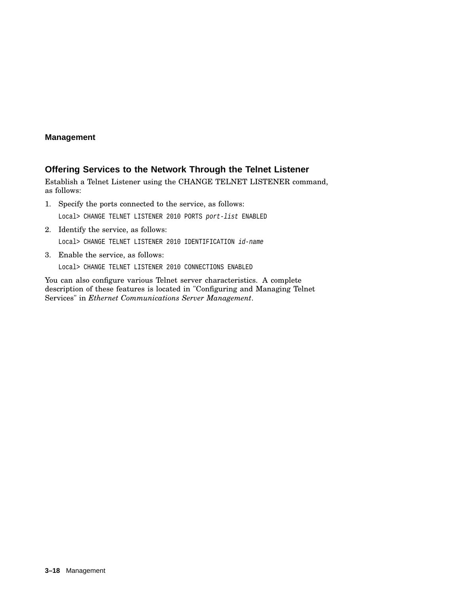## **Offering Services to the Network Through the Telnet Listener**

Establish a Telnet Listener using the CHANGE TELNET LISTENER command, as follows:

1. Specify the ports connected to the service, as follows:

Local> CHANGE TELNET LISTENER 2010 PORTS port-list ENABLED

2. Identify the service, as follows:

Local> CHANGE TELNET LISTENER 2010 IDENTIFICATION id-name

3. Enable the service, as follows:

Local> CHANGE TELNET LISTENER 2010 CONNECTIONS ENABLED

You can also configure various Telnet server characteristics. A complete description of these features is located in "Configuring and Managing Telnet Services" in *Ethernet Communications Server Management*.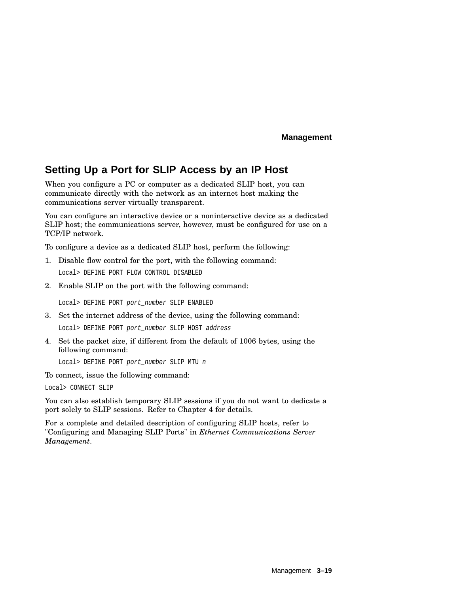# **Setting Up a Port for SLIP Access by an IP Host**

When you configure a PC or computer as a dedicated SLIP host, you can communicate directly with the network as an internet host making the communications server virtually transparent.

You can configure an interactive device or a noninteractive device as a dedicated SLIP host; the communications server, however, must be configured for use on a TCP/IP network.

To configure a device as a dedicated SLIP host, perform the following:

- 1. Disable flow control for the port, with the following command: Local> DEFINE PORT FLOW CONTROL DISABLED
- 2. Enable SLIP on the port with the following command:

Local> DEFINE PORT port number SLIP ENABLED

- 3. Set the internet address of the device, using the following command: Local> DEFINE PORT port number SLIP HOST address
- 4. Set the packet size, if different from the default of 1006 bytes, using the following command:

Local> DEFINE PORT port\_number SLIP MTU n

To connect, issue the following command:

Local> CONNECT SLIP

You can also establish temporary SLIP sessions if you do not want to dedicate a port solely to SLIP sessions. Refer to Chapter 4 for details.

For a complete and detailed description of configuring SLIP hosts, refer to "Configuring and Managing SLIP Ports" in *Ethernet Communications Server Management*.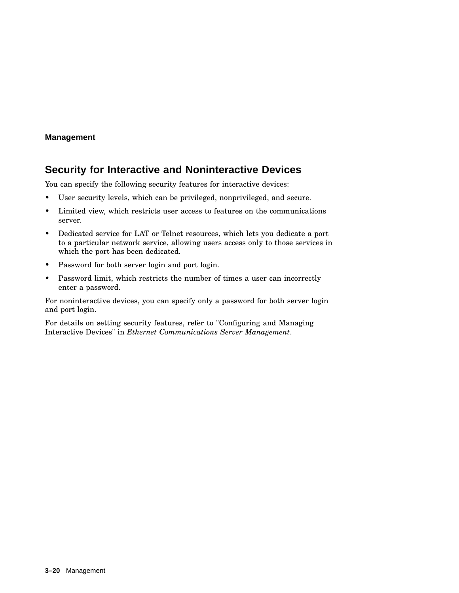# **Security for Interactive and Noninteractive Devices**

You can specify the following security features for interactive devices:

- User security levels, which can be privileged, nonprivileged, and secure.
- Limited view, which restricts user access to features on the communications server.
- Dedicated service for LAT or Telnet resources, which lets you dedicate a port to a particular network service, allowing users access only to those services in which the port has been dedicated.
- Password for both server login and port login.
- Password limit, which restricts the number of times a user can incorrectly enter a password.

For noninteractive devices, you can specify only a password for both server login and port login.

For details on setting security features, refer to "Configuring and Managing Interactive Devices" in *Ethernet Communications Server Management*.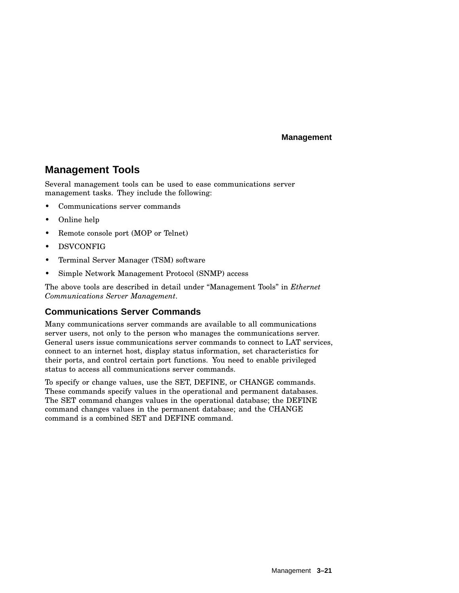# **Management Tools**

Several management tools can be used to ease communications server management tasks. They include the following:

- Communications server commands
- Online help
- Remote console port (MOP or Telnet)
- DSVCONFIG
- Terminal Server Manager (TSM) software
- Simple Network Management Protocol (SNMP) access

The above tools are described in detail under ''Management Tools'' in *Ethernet Communications Server Management*.

## **Communications Server Commands**

Many communications server commands are available to all communications server users, not only to the person who manages the communications server. General users issue communications server commands to connect to LAT services, connect to an internet host, display status information, set characteristics for their ports, and control certain port functions. You need to enable privileged status to access all communications server commands.

To specify or change values, use the SET, DEFINE, or CHANGE commands. These commands specify values in the operational and permanent databases. The SET command changes values in the operational database; the DEFINE command changes values in the permanent database; and the CHANGE command is a combined SET and DEFINE command.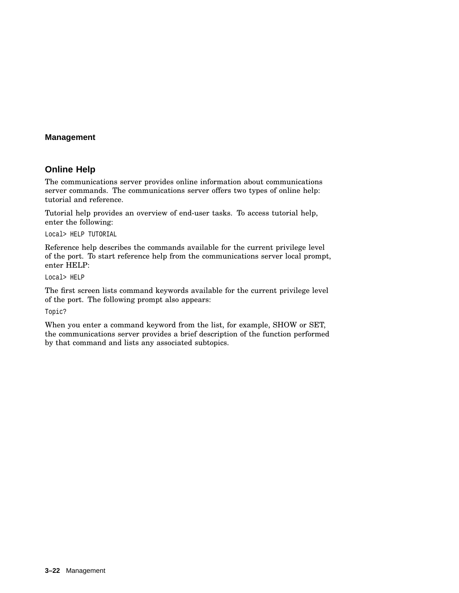## **Online Help**

The communications server provides online information about communications server commands. The communications server offers two types of online help: tutorial and reference.

Tutorial help provides an overview of end-user tasks. To access tutorial help, enter the following:

Local> HELP TUTORIAL

Reference help describes the commands available for the current privilege level of the port. To start reference help from the communications server local prompt, enter HELP:

Local> HELP

The first screen lists command keywords available for the current privilege level of the port. The following prompt also appears:

Topic?

When you enter a command keyword from the list, for example, SHOW or SET, the communications server provides a brief description of the function performed by that command and lists any associated subtopics.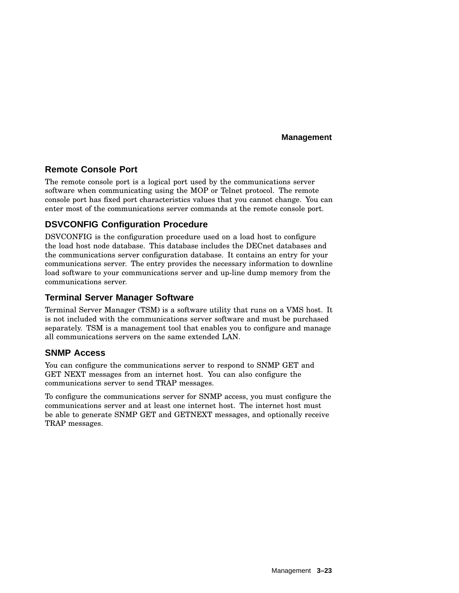## **Remote Console Port**

The remote console port is a logical port used by the communications server software when communicating using the MOP or Telnet protocol. The remote console port has fixed port characteristics values that you cannot change. You can enter most of the communications server commands at the remote console port.

## **DSVCONFIG Configuration Procedure**

DSVCONFIG is the configuration procedure used on a load host to configure the load host node database. This database includes the DECnet databases and the communications server configuration database. It contains an entry for your communications server. The entry provides the necessary information to downline load software to your communications server and up-line dump memory from the communications server.

## **Terminal Server Manager Software**

Terminal Server Manager (TSM) is a software utility that runs on a VMS host. It is not included with the communications server software and must be purchased separately. TSM is a management tool that enables you to configure and manage all communications servers on the same extended LAN.

## **SNMP Access**

You can configure the communications server to respond to SNMP GET and GET NEXT messages from an internet host. You can also configure the communications server to send TRAP messages.

To configure the communications server for SNMP access, you must configure the communications server and at least one internet host. The internet host must be able to generate SNMP GET and GETNEXT messages, and optionally receive TRAP messages.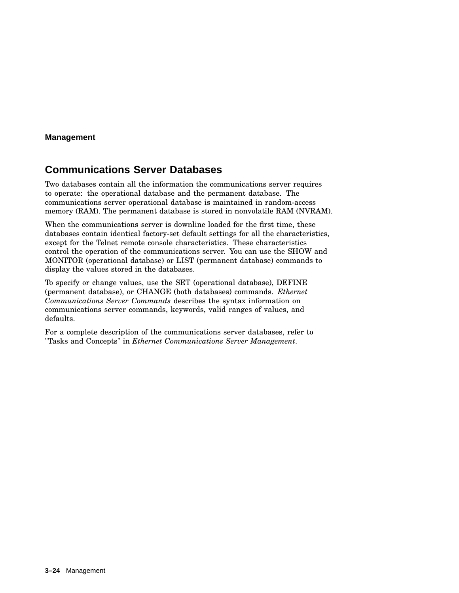# **Communications Server Databases**

Two databases contain all the information the communications server requires to operate: the operational database and the permanent database. The communications server operational database is maintained in random-access memory (RAM). The permanent database is stored in nonvolatile RAM (NVRAM).

When the communications server is downline loaded for the first time, these databases contain identical factory-set default settings for all the characteristics, except for the Telnet remote console characteristics. These characteristics control the operation of the communications server. You can use the SHOW and MONITOR (operational database) or LIST (permanent database) commands to display the values stored in the databases.

To specify or change values, use the SET (operational database), DEFINE (permanent database), or CHANGE (both databases) commands. *Ethernet Communications Server Commands* describes the syntax information on communications server commands, keywords, valid ranges of values, and defaults.

For a complete description of the communications server databases, refer to "Tasks and Concepts" in *Ethernet Communications Server Management*.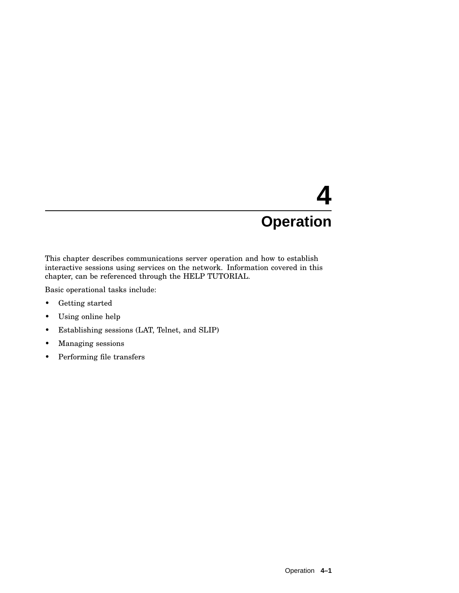This chapter describes communications server operation and how to establish interactive sessions using services on the network. Information covered in this chapter, can be referenced through the HELP TUTORIAL.

Basic operational tasks include:

- Getting started
- Using online help
- Establishing sessions (LAT, Telnet, and SLIP)
- Managing sessions
- Performing file transfers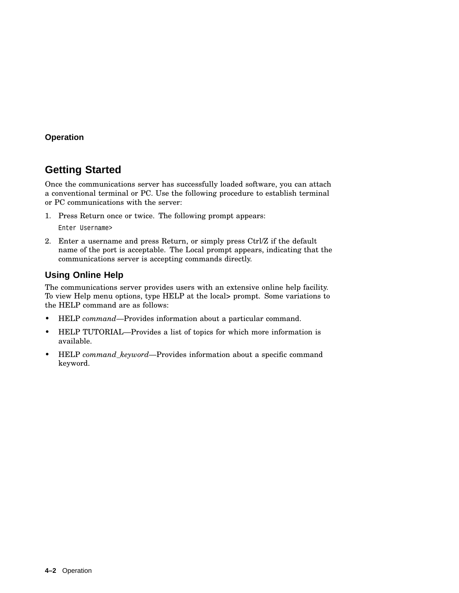# **Getting Started**

Once the communications server has successfully loaded software, you can attach a conventional terminal or PC. Use the following procedure to establish terminal or PC communications with the server:

1. Press Return once or twice. The following prompt appears:

Enter Username>

2. Enter a username and press Return, or simply press Ctrl/Z if the default name of the port is acceptable. The Local prompt appears, indicating that the communications server is accepting commands directly.

## **Using Online Help**

The communications server provides users with an extensive online help facility. To view Help menu options, type HELP at the local> prompt. Some variations to the HELP command are as follows:

- HELP *command*—Provides information about a particular command.
- HELP TUTORIAL—Provides a list of topics for which more information is available.
- HELP *command\_keyword*—Provides information about a specific command keyword.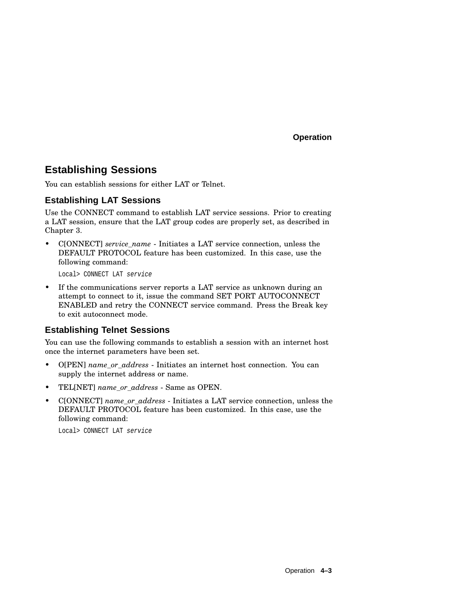# **Establishing Sessions**

You can establish sessions for either LAT or Telnet.

## **Establishing LAT Sessions**

Use the CONNECT command to establish LAT service sessions. Prior to creating a LAT session, ensure that the LAT group codes are properly set, as described in Chapter 3.

• C[ONNECT] *service\_name* - Initiates a LAT service connection, unless the DEFAULT PROTOCOL feature has been customized. In this case, use the following command:

Local> CONNECT LAT service

• If the communications server reports a LAT service as unknown during an attempt to connect to it, issue the command SET PORT AUTOCONNECT ENABLED and retry the CONNECT service command. Press the Break key to exit autoconnect mode.

## **Establishing Telnet Sessions**

You can use the following commands to establish a session with an internet host once the internet parameters have been set.

- O[PEN] *name\_or\_address* Initiates an internet host connection. You can supply the internet address or name.
- TEL[NET] *name\_or\_address* Same as OPEN.
- C[ONNECT] *name\_or\_address* Initiates a LAT service connection, unless the DEFAULT PROTOCOL feature has been customized. In this case, use the following command:

Local> CONNECT LAT service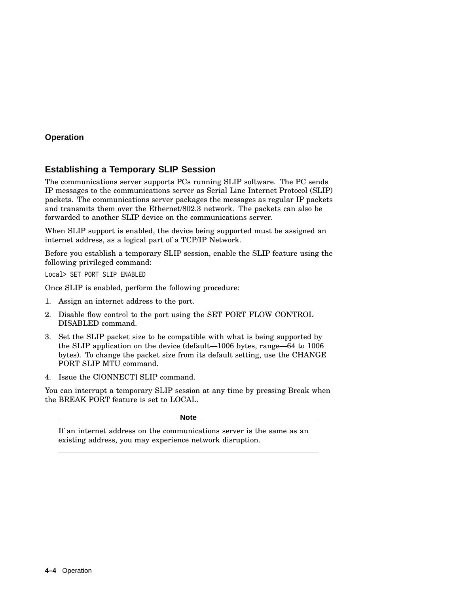## **Establishing a Temporary SLIP Session**

The communications server supports PCs running SLIP software. The PC sends IP messages to the communications server as Serial Line Internet Protocol (SLIP) packets. The communications server packages the messages as regular IP packets and transmits them over the Ethernet/802.3 network. The packets can also be forwarded to another SLIP device on the communications server.

When SLIP support is enabled, the device being supported must be assigned an internet address, as a logical part of a TCP/IP Network.

Before you establish a temporary SLIP session, enable the SLIP feature using the following privileged command:

Local> SET PORT SLIP ENABLED

Once SLIP is enabled, perform the following procedure:

- 1. Assign an internet address to the port.
- 2. Disable flow control to the port using the SET PORT FLOW CONTROL DISABLED command.
- 3. Set the SLIP packet size to be compatible with what is being supported by the SLIP application on the device (default—1006 bytes, range—64 to 1006 bytes). To change the packet size from its default setting, use the CHANGE PORT SLIP MTU command.
- 4. Issue the C[ONNECT] SLIP command.

You can interrupt a temporary SLIP session at any time by pressing Break when the BREAK PORT feature is set to LOCAL.

**Note**

If an internet address on the communications server is the same as an existing address, you may experience network disruption.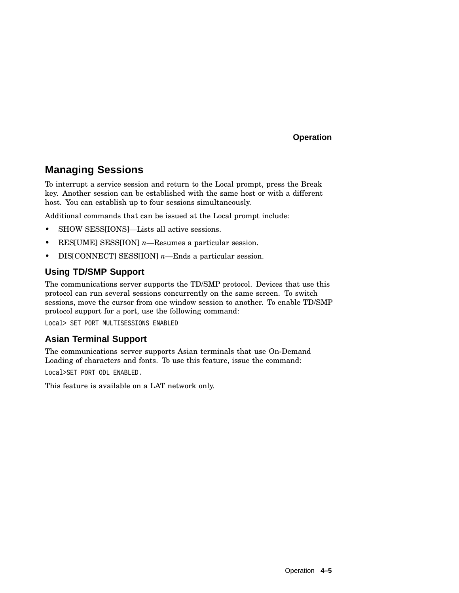# **Managing Sessions**

To interrupt a service session and return to the Local prompt, press the Break key. Another session can be established with the same host or with a different host. You can establish up to four sessions simultaneously.

Additional commands that can be issued at the Local prompt include:

- SHOW SESS[IONS]—Lists all active sessions.
- RES[UME] SESS[ION] *n*—Resumes a particular session.
- DIS[CONNECT] SESS[ION] *n*—Ends a particular session.

## **Using TD/SMP Support**

The communications server supports the TD/SMP protocol. Devices that use this protocol can run several sessions concurrently on the same screen. To switch sessions, move the cursor from one window session to another. To enable TD/SMP protocol support for a port, use the following command:

Local> SET PORT MULTISESSIONS ENABLED

## **Asian Terminal Support**

The communications server supports Asian terminals that use On-Demand Loading of characters and fonts. To use this feature, issue the command:

Local>SET PORT ODL ENABLED.

This feature is available on a LAT network only.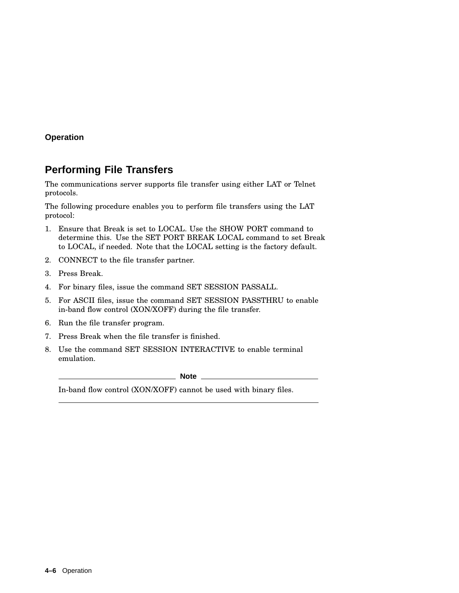# **Performing File Transfers**

The communications server supports file transfer using either LAT or Telnet protocols.

The following procedure enables you to perform file transfers using the LAT protocol:

- 1. Ensure that Break is set to LOCAL. Use the SHOW PORT command to determine this. Use the SET PORT BREAK LOCAL command to set Break to LOCAL, if needed. Note that the LOCAL setting is the factory default.
- 2. CONNECT to the file transfer partner.
- 3. Press Break.
- 4. For binary files, issue the command SET SESSION PASSALL.
- 5. For ASCII files, issue the command SET SESSION PASSTHRU to enable in-band flow control (XON/XOFF) during the file transfer.
- 6. Run the file transfer program.
- 7. Press Break when the file transfer is finished.
- 8. Use the command SET SESSION INTERACTIVE to enable terminal emulation.

**Note**

In-band flow control (XON/XOFF) cannot be used with binary files.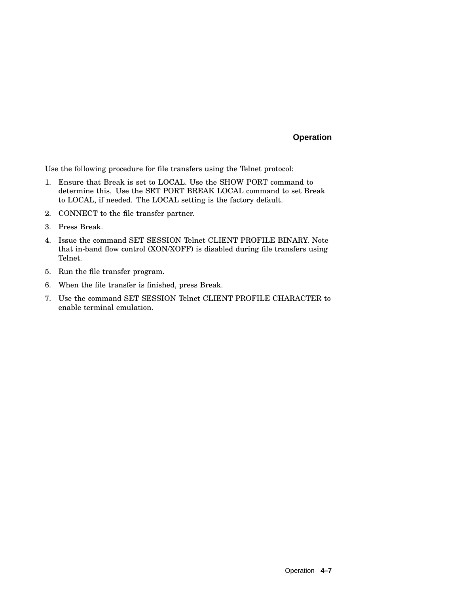Use the following procedure for file transfers using the Telnet protocol:

- 1. Ensure that Break is set to LOCAL. Use the SHOW PORT command to determine this. Use the SET PORT BREAK LOCAL command to set Break to LOCAL, if needed. The LOCAL setting is the factory default.
- 2. CONNECT to the file transfer partner.
- 3. Press Break.
- 4. Issue the command SET SESSION Telnet CLIENT PROFILE BINARY. Note that in-band flow control (XON/XOFF) is disabled during file transfers using Telnet.
- 5. Run the file transfer program.
- 6. When the file transfer is finished, press Break.
- 7. Use the command SET SESSION Telnet CLIENT PROFILE CHARACTER to enable terminal emulation.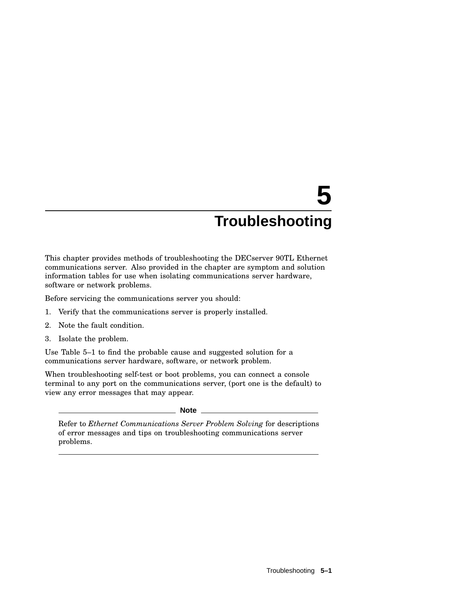This chapter provides methods of troubleshooting the DECserver 90TL Ethernet communications server. Also provided in the chapter are symptom and solution information tables for use when isolating communications server hardware, software or network problems.

Before servicing the communications server you should:

- 1. Verify that the communications server is properly installed.
- 2. Note the fault condition.
- 3. Isolate the problem.

Use Table 5–1 to find the probable cause and suggested solution for a communications server hardware, software, or network problem.

When troubleshooting self-test or boot problems, you can connect a console terminal to any port on the communications server, (port one is the default) to view any error messages that may appear.

**Note**

Refer to *Ethernet Communications Server Problem Solving* for descriptions of error messages and tips on troubleshooting communications server problems.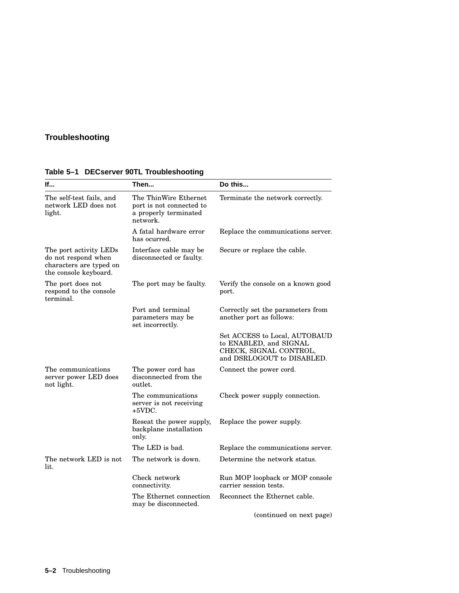| If                                                                                                | Then                                                                                   | Do this                                                                                                         |
|---------------------------------------------------------------------------------------------------|----------------------------------------------------------------------------------------|-----------------------------------------------------------------------------------------------------------------|
| The self-test fails, and<br>network LED does not<br>light.                                        | The ThinWire Ethernet<br>port is not connected to<br>a properly terminated<br>network. | Terminate the network correctly.                                                                                |
|                                                                                                   | A fatal hardware error<br>has ocurred.                                                 | Replace the communications server.                                                                              |
| The port activity LEDs<br>do not respond when<br>characters are typed on<br>the console keyboard. | Interface cable may be<br>disconnected or faulty.                                      | Secure or replace the cable.                                                                                    |
| The port does not<br>respond to the console<br>terminal.                                          | The port may be faulty.                                                                | Verify the console on a known good<br>port.                                                                     |
|                                                                                                   | Port and terminal<br>parameters may be<br>set incorrectly.                             | Correctly set the parameters from<br>another port as follows:                                                   |
|                                                                                                   |                                                                                        | Set ACCESS to Local, AUTOBAUD<br>to ENABLED, and SIGNAL<br>CHECK, SIGNAL CONTROL,<br>and DSRLOGOUT to DISABLED. |
| The communications<br>server power LED does<br>not light.                                         | The power cord has<br>disconnected from the<br>outlet.                                 | Connect the power cord.                                                                                         |
|                                                                                                   | The communications<br>server is not receiving<br>+5VDC.                                | Check power supply connection.                                                                                  |
|                                                                                                   | Reseat the power supply,<br>backplane installation<br>only.                            | Replace the power supply.                                                                                       |
|                                                                                                   | The LED is bad.                                                                        | Replace the communications server.                                                                              |
| The network LED is not<br>lit.                                                                    | The network is down.                                                                   | Determine the network status.                                                                                   |
|                                                                                                   | Check network<br>connectivity.                                                         | Run MOP loopback or MOP console<br>carrier session tests.                                                       |
|                                                                                                   | The Ethernet connection<br>may be disconnected.                                        | Reconnect the Ethernet cable.                                                                                   |
|                                                                                                   |                                                                                        | (continued on next page)                                                                                        |

**Table 5–1 DECserver 90TL Troubleshooting**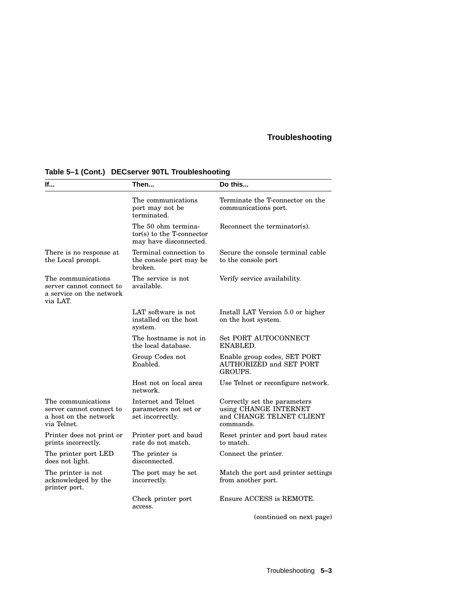| lf                                                                                     | Then                                                                       | Do this                                                                                        |
|----------------------------------------------------------------------------------------|----------------------------------------------------------------------------|------------------------------------------------------------------------------------------------|
|                                                                                        | The communications<br>port may not be<br>terminated.                       | Terminate the T-connector on the<br>communications port.                                       |
|                                                                                        | The 50 ohm termina-<br>tor(s) to the T-connector<br>may have disconnected. | Reconnect the terminator(s).                                                                   |
| There is no response at<br>the Local prompt.                                           | Terminal connection to<br>the console port may be<br>broken.               | Secure the console terminal cable<br>to the console port                                       |
| The communications<br>server cannot connect to<br>a service on the network<br>via LAT. | The service is not<br>available.                                           | Verify service availability.                                                                   |
|                                                                                        | LAT software is not<br>installed on the host<br>system.                    | Install LAT Version 5.0 or higher<br>on the host system.                                       |
|                                                                                        | The hostname is not in<br>the local database.                              | <b>Set PORT AUTOCONNECT</b><br>ENABLED.                                                        |
|                                                                                        | Group Codes not<br>Enabled.                                                | Enable group codes, SET PORT<br>AUTHORIZED and SET PORT<br>GROUPS.                             |
|                                                                                        | Host not on local area<br>network.                                         | Use Telnet or reconfigure network.                                                             |
| The communications<br>server cannot connect to<br>a host on the network<br>via Telnet. | Internet and Telnet<br>parameters not set or<br>set incorrectly.           | Correctly set the parameters<br>using CHANGE INTERNET<br>and CHANGE TELNET CLIENT<br>commands. |
| Printer does not print or<br>prints incorrectly.                                       | Printer port and baud<br>rate do not match.                                | Reset printer and port baud rates<br>to match.                                                 |
| The printer port LED<br>does not light.                                                | The printer is<br>disconnected.                                            | Connect the printer.                                                                           |
| The printer is not<br>acknowledged by the<br>printer port.                             | The port may be set<br>incorrectly.                                        | Match the port and printer settings<br>from another port.                                      |
|                                                                                        | Check printer port<br>access.                                              | Ensure ACCESS is REMOTE.                                                                       |
|                                                                                        |                                                                            | (continued on next page)                                                                       |

## **Table 5–1 (Cont.) DECserver 90TL Troubleshooting**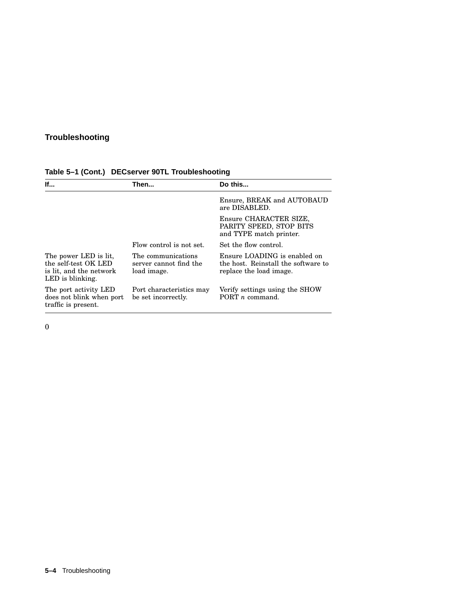| lf                                                                                           | Then                                                        | Do this                                                                                        |
|----------------------------------------------------------------------------------------------|-------------------------------------------------------------|------------------------------------------------------------------------------------------------|
|                                                                                              |                                                             | Ensure, BREAK and AUTOBAUD<br>are DISABLED.                                                    |
|                                                                                              |                                                             | Ensure CHARACTER SIZE,<br>PARITY SPEED, STOP BITS<br>and TYPE match printer.                   |
|                                                                                              | Flow control is not set.                                    | Set the flow control.                                                                          |
| The power LED is lit.<br>the self-test OK LED<br>is lit, and the network<br>LED is blinking. | The communications<br>server cannot find the<br>load image. | Ensure LOADING is enabled on<br>the host. Reinstall the software to<br>replace the load image. |
| The port activity LED<br>does not blink when port<br>traffic is present.                     | Port characteristics may<br>be set incorrectly.             | Verify settings using the SHOW<br>PORT $n$ command.                                            |

## **Table 5–1 (Cont.) DECserver 90TL Troubleshooting**

0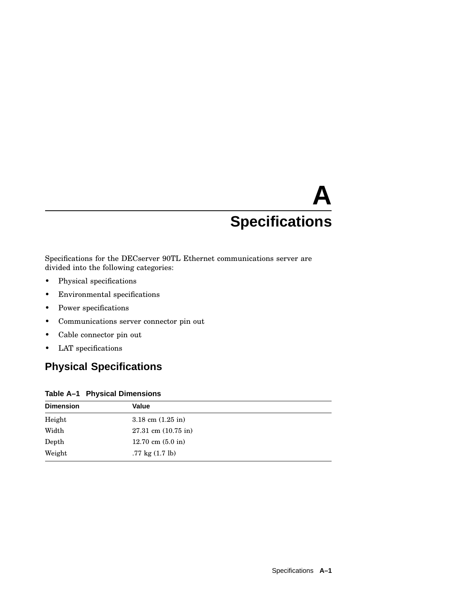# **A Specifications**

Specifications for the DECserver 90TL Ethernet communications server are divided into the following categories:

- Physical specifications
- Environmental specifications
- Power specifications
- Communications server connector pin out
- Cable connector pin out
- LAT specifications

# **Physical Specifications**

#### **Table A–1 Physical Dimensions**

| <b>Dimension</b> | <b>Value</b>                      |  |
|------------------|-----------------------------------|--|
| Height           | $3.18$ cm $(1.25$ in)             |  |
| Width            | $27.31$ cm $(10.75$ in)           |  |
| Depth            | 12.70 cm $(5.0 \text{ in})$       |  |
| Weight           | $.77 \text{ kg} (1.7 \text{ lb})$ |  |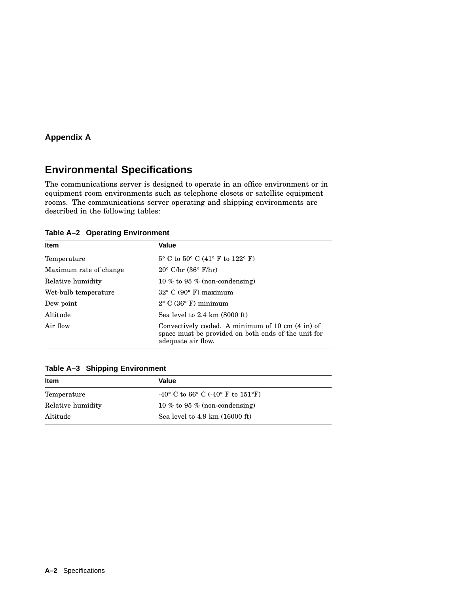# **Environmental Specifications**

The communications server is designed to operate in an office environment or in equipment room environments such as telephone closets or satellite equipment rooms. The communications server operating and shipping environments are described in the following tables:

**Table A–2 Operating Environment**

| <b>Item</b>            | Value                                                                                                                          |
|------------------------|--------------------------------------------------------------------------------------------------------------------------------|
| Temperature            | $5^{\circ}$ C to $50^{\circ}$ C (41° F to 122° F)                                                                              |
| Maximum rate of change | $20^{\circ}$ C/hr $(36^{\circ}$ F/hr)                                                                                          |
| Relative humidity      | 10 % to 95 % (non-condensing)                                                                                                  |
| Wet-bulb temperature   | $32^{\circ}$ C (90 $^{\circ}$ F) maximum                                                                                       |
| Dew point              | $2^{\circ}$ C (36 $^{\circ}$ F) minimum                                                                                        |
| Altitude               | Sea level to $2.4 \text{ km}$ (8000 ft)                                                                                        |
| Air flow               | Convectively cooled. A minimum of 10 cm (4 in) of<br>space must be provided on both ends of the unit for<br>adequate air flow. |

## **Table A–3 Shipping Environment**

| Item              | Value                                              |  |
|-------------------|----------------------------------------------------|--|
| Temperature       | -40° C to 66° C (-40° F to 151°F)                  |  |
| Relative humidity | 10 % to 95 % (non-condensing)                      |  |
| Altitude          | Sea level to $4.9 \text{ km}$ $(16000 \text{ ft})$ |  |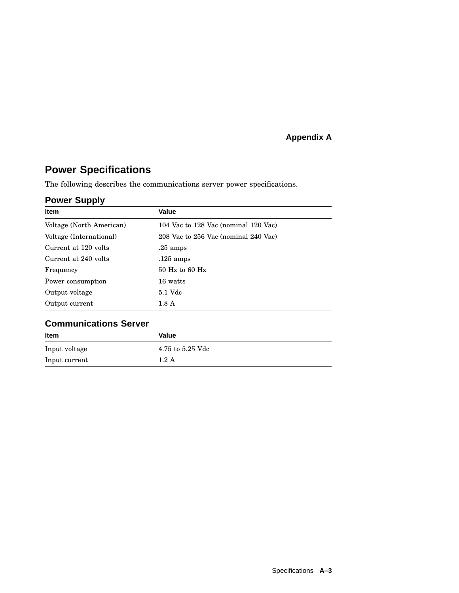# **Power Specifications**

The following describes the communications server power specifications.

## **Power Supply**

| <b>Item</b>              | Value                                |  |
|--------------------------|--------------------------------------|--|
| Voltage (North American) | 104 Vac to 128 Vac (nominal 120 Vac) |  |
| Voltage (International)  | 208 Vac to 256 Vac (nominal 240 Vac) |  |
| Current at 120 volts     | $.25 \text{ amps}$                   |  |
| Current at 240 volts     | $.125 \text{ amps}$                  |  |
| Frequency                | $50$ Hz to $60$ Hz                   |  |
| Power consumption        | 16 watts                             |  |
| Output voltage           | 5.1 Vdc                              |  |
| Output current           | 1.8 <sub>A</sub>                     |  |

# **Communications Server**

| <b>Item</b>   | Value            |
|---------------|------------------|
| Input voltage | 4.75 to 5.25 Vdc |
| Input current | $1.2\;{\rm A}$   |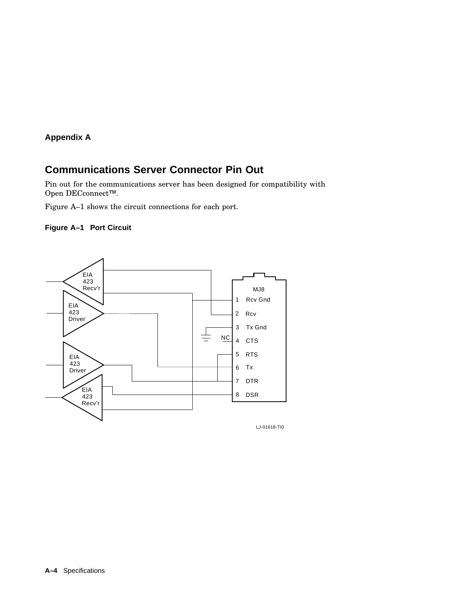# **Communications Server Connector Pin Out**

Pin out for the communications server has been designed for compatibility with Open DECconnect™.

Figure A–1 shows the circuit connections for each port.





LJ-01618-TI0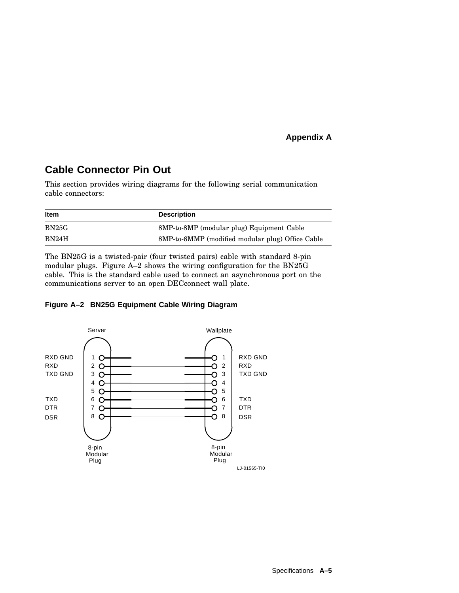# **Cable Connector Pin Out**

This section provides wiring diagrams for the following serial communication cable connectors:

| <b>Item</b> | <b>Description</b>                               |
|-------------|--------------------------------------------------|
| BN25G       | 8MP-to-8MP (modular plug) Equipment Cable        |
| BN24H       | 8MP-to-6MMP (modified modular plug) Office Cable |

The BN25G is a twisted-pair (four twisted pairs) cable with standard 8-pin modular plugs. Figure A–2 shows the wiring configuration for the BN25G cable. This is the standard cable used to connect an asynchronous port on the communications server to an open DECconnect wall plate.



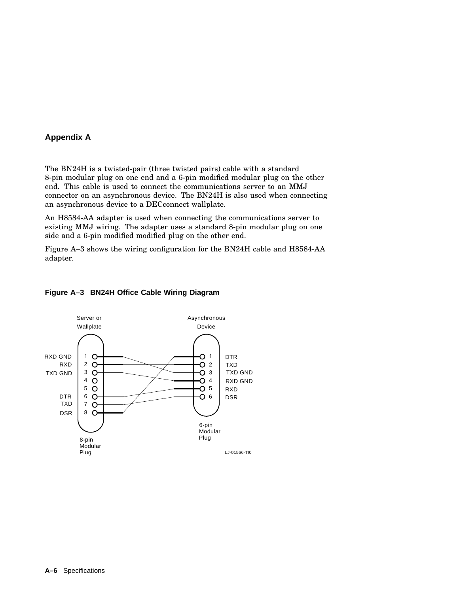The BN24H is a twisted-pair (three twisted pairs) cable with a standard 8-pin modular plug on one end and a 6-pin modified modular plug on the other end. This cable is used to connect the communications server to an MMJ connector on an asynchronous device. The BN24H is also used when connecting an asynchronous device to a DECconnect wallplate.

An H8584-AA adapter is used when connecting the communications server to existing MMJ wiring. The adapter uses a standard 8-pin modular plug on one side and a 6-pin modified modified plug on the other end.

Figure A–3 shows the wiring configuration for the BN24H cable and H8584-AA adapter.

#### Server or Asynchronous Wallplate Device RXD GND  $1<sub>O</sub>$ ∩ 1 DTR RXD 2 O  $O<sub>2</sub>$ TXD TXD GND 3  $\circ$  $O<sub>3</sub>$ TXD GND 4 4  $\circ$ Ō RXD GND 5  $O<sub>5</sub>$  $\circ$ RXD DTR 6  $O<sub>6</sub>$  $\circ$ DSR TXD 7  $\circ$  DSR 8  $\circ$ 6-pin **Modular** Plug 8-pin **Modular** Plug LJ-01566-TI0

#### **Figure A–3 BN24H Office Cable Wiring Diagram**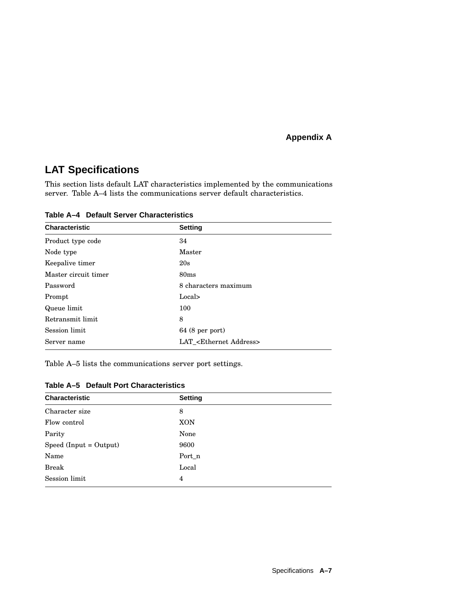# **LAT Specifications**

This section lists default LAT characteristics implemented by the communications server. Table A–4 lists the communications server default characteristics.

**Table A–4 Default Server Characteristics**

| <b>Characteristic</b> | <b>Setting</b>                        |
|-----------------------|---------------------------------------|
| Product type code     | 34                                    |
| Node type             | Master                                |
| Keepalive timer       | 20s                                   |
| Master circuit timer  | 80 <sub>ms</sub>                      |
| Password              | 8 characters maximum                  |
| Prompt                | Local>                                |
| Queue limit           | 100                                   |
| Retransmit limit      | 8                                     |
| Session limit         | $64(8$ per port)                      |
| Server name           | LAT_ <ethernet address=""></ethernet> |

Table A–5 lists the communications server port settings.

| <b>Characteristic</b>    | <b>Setting</b> |
|--------------------------|----------------|
| Character size           | 8              |
| Flow control             | <b>XON</b>     |
| Parity                   | None           |
| $Speed (Input = Output)$ | 9600           |
| Name                     | Port_n         |
| <b>Break</b>             | Local          |
| Session limit            | 4              |
|                          |                |

|  |  |  | Table A-5 Default Port Characteristics |
|--|--|--|----------------------------------------|
|--|--|--|----------------------------------------|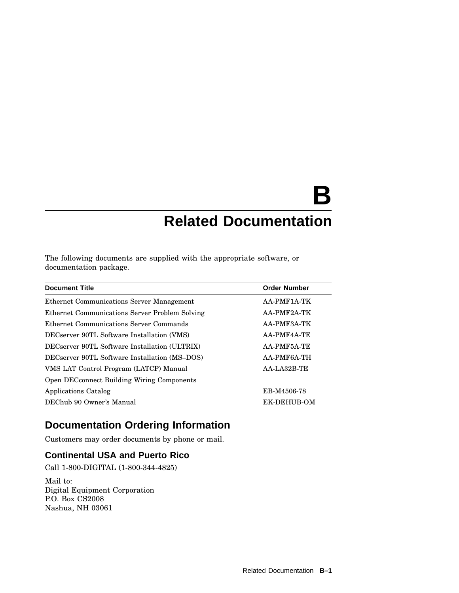# **B Related Documentation**

The following documents are supplied with the appropriate software, or documentation package.

| <b>Document Title</b>                             | <b>Order Number</b> |
|---------------------------------------------------|---------------------|
| Ethernet Communications Server Management         | AA-PMF1A-TK         |
| Ethernet Communications Server Problem Solving    | AA-PMF2A-TK         |
| Ethernet Communications Server Commands           | AA-PMF3A-TK         |
| DECserver 90TL Software Installation (VMS)        | AA-PMF4A-TE         |
| DECserver 90TL Software Installation (ULTRIX)     | AA-PMF5A-TE         |
| DECserver 90TL Software Installation (MS-DOS)     | AA-PMF6A-TH         |
| VMS LAT Control Program (LATCP) Manual            | AA-LA32B-TE         |
| <b>Open DECconnect Building Wiring Components</b> |                     |
| Applications Catalog                              | EB-M4506-78         |
| DEChub 90 Owner's Manual                          | EK-DEHUB-OM         |

# **Documentation Ordering Information**

Customers may order documents by phone or mail.

## **Continental USA and Puerto Rico**

Call 1-800-DIGITAL (1-800-344-4825)

Mail to: Digital Equipment Corporation P.O. Box CS2008 Nashua, NH 03061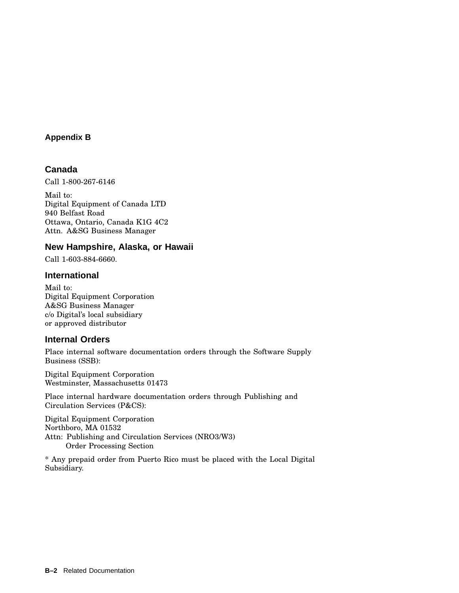## **Appendix B**

## **Canada**

Call 1-800-267-6146

Mail to: Digital Equipment of Canada LTD 940 Belfast Road Ottawa, Ontario, Canada K1G 4C2 Attn. A&SG Business Manager

## **New Hampshire, Alaska, or Hawaii**

Call 1-603-884-6660.

## **International**

Mail to: Digital Equipment Corporation A&SG Business Manager c/o Digital's local subsidiary or approved distributor

## **Internal Orders**

Place internal software documentation orders through the Software Supply Business (SSB):

Digital Equipment Corporation Westminster, Massachusetts 01473

Place internal hardware documentation orders through Publishing and Circulation Services (P&CS):

Digital Equipment Corporation Northboro, MA 01532 Attn: Publishing and Circulation Services (NRO3/W3) Order Processing Section

\* Any prepaid order from Puerto Rico must be placed with the Local Digital Subsidiary.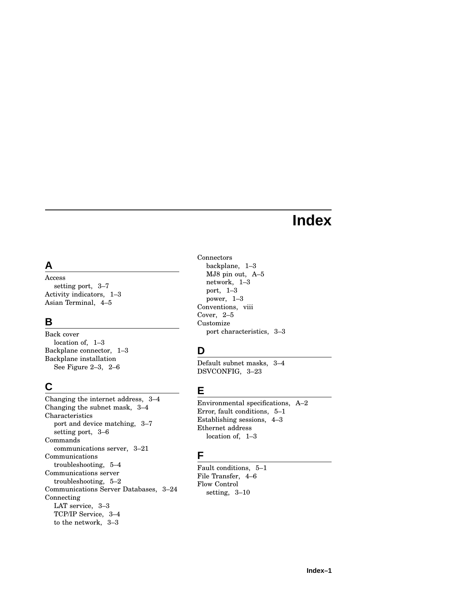# **Index**

# **A**

Access setting port, 3–7 Activity indicators, 1–3 Asian Terminal, 4–5

# **B**

Back cover location of, 1–3 Backplane connector, 1–3 Backplane installation See Figure 2–3, 2–6

# **C**

Changing the internet address, 3–4 Changing the subnet mask, 3–4 Characteristics port and device matching, 3–7 setting port, 3–6 Commands communications server, 3–21 Communications troubleshooting, 5–4 Communications server troubleshooting, 5–2 Communications Server Databases, 3–24 Connecting LAT service, 3–3 TCP/IP Service, 3–4 to the network, 3–3

Connectors backplane, 1–3 MJ8 pin out, A–5 network, 1–3 port, 1–3 power, 1–3 Conventions, viii Cover, 2–5 Customize port characteristics, 3–3

# **D**

Default subnet masks, 3–4 DSVCONFIG, 3–23

# **E**

Environmental specifications, A–2 Error, fault conditions, 5–1 Establishing sessions, 4–3 Ethernet address location of, 1–3

# **F**

Fault conditions, 5–1 File Transfer, 4–6 Flow Control setting, 3–10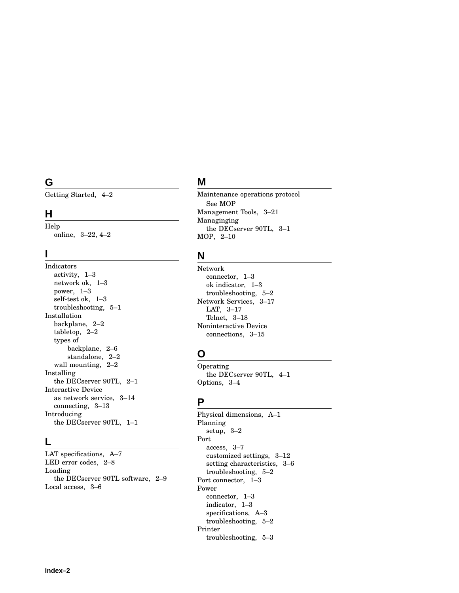# **G**

Getting Started, 4–2

## **H**

Help online, 3–22, 4–2

## **I**

Indicators activity, 1–3 network ok, 1–3 power, 1–3 self-test ok, 1–3 troubleshooting, 5–1 Installation backplane, 2–2 tabletop, 2–2 types of backplane, 2–6 standalone, 2–2 wall mounting, 2–2 Installing the DECserver 90TL, 2–1 Interactive Device as network service, 3–14 connecting, 3–13 Introducing the DECserver 90TL, 1–1

## **L**

LAT specifications, A–7 LED error codes, 2–8 Loading the DECserver 90TL software, 2–9 Local access, 3–6

# **M**

Maintenance operations protocol See MOP Management Tools, 3–21 Managinging the DECserver 90TL, 3–1 MOP, 2–10

# **N**

Network connector, 1–3 ok indicator, 1–3 troubleshooting, 5–2 Network Services, 3–17 LAT, 3–17 Telnet, 3–18 Noninteractive Device connections, 3–15

# **O**

Operating the DECserver 90TL, 4–1 Options, 3–4

## **P**

Physical dimensions, A–1 Planning setup, 3–2 Port access, 3–7 customized settings, 3–12 setting characteristics, 3–6 troubleshooting, 5–2 Port connector, 1–3 Power connector, 1–3 indicator, 1–3 specifications, A–3 troubleshooting, 5–2 Printer troubleshooting, 5–3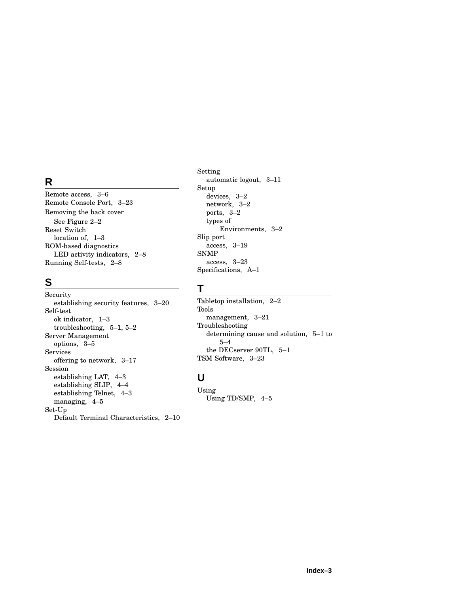# **R**

Remote access, 3–6 Remote Console Port, 3–23 Removing the back cover See Figure 2–2 Reset Switch location of, 1–3 ROM-based diagnostics LED activity indicators, 2–8 Running Self-tests, 2–8

## **S**

Security establishing security features, 3–20 Self-test ok indicator, 1–3 troubleshooting, 5–1, 5–2 Server Management options, 3–5 Services offering to network, 3–17 Session establishing LAT, 4–3 establishing SLIP, 4–4 establishing Telnet, 4–3 managing, 4–5 Set-Up Default Terminal Characteristics, 2–10 Setting automatic logout, 3–11 Setup devices, 3–2 network, 3–2 ports, 3–2 types of Environments, 3–2 Slip port access, 3–19 SNMP access, 3–23 Specifications, A–1

# **T**

Tabletop installation, 2–2 Tools management, 3–21 Troubleshooting determining cause and solution, 5–1 to 5–4 the DECserver 90TL, 5–1 TSM Software, 3–23

# **U**

Using Using TD/SMP, 4–5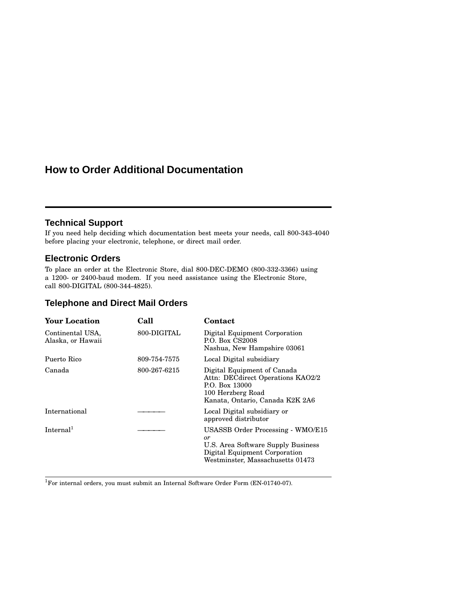# **How to Order Additional Documentation**

## **Technical Support**

If you need help deciding which documentation best meets your needs, call 800-343-4040 before placing your electronic, telephone, or direct mail order.

## **Electronic Orders**

To place an order at the Electronic Store, dial 800-DEC-DEMO (800-332-3366) using a 1200- or 2400-baud modem. If you need assistance using the Electronic Store, call 800-DIGITAL (800-344-4825).

## **Telephone and Direct Mail Orders**

| <b>Your Location</b>                  | Call         | Contact                                                                                                                                            |  |
|---------------------------------------|--------------|----------------------------------------------------------------------------------------------------------------------------------------------------|--|
| Continental USA,<br>Alaska, or Hawaii | 800-DIGITAL  | Digital Equipment Corporation<br>P.O. Box CS2008<br>Nashua, New Hampshire 03061                                                                    |  |
| Puerto Rico                           | 809-754-7575 | Local Digital subsidiary                                                                                                                           |  |
| Canada                                | 800-267-6215 | Digital Equipment of Canada<br>Attn: DECdirect Operations KAO2/2<br>P.O. Box 13000<br>100 Herzberg Road<br>Kanata, Ontario, Canada K2K 2A6         |  |
| International                         |              | Local Digital subsidiary or<br>approved distributor                                                                                                |  |
| Internal <sup>1</sup>                 |              | USASSB Order Processing - WMO/E15<br>or<br>U.S. Area Software Supply Business<br>Digital Equipment Corporation<br>Westminster, Massachusetts 01473 |  |
|                                       |              |                                                                                                                                                    |  |

 $^{1}\rm{For}$  internal orders, you must submit an Internal Software Order Form (EN-01740-07).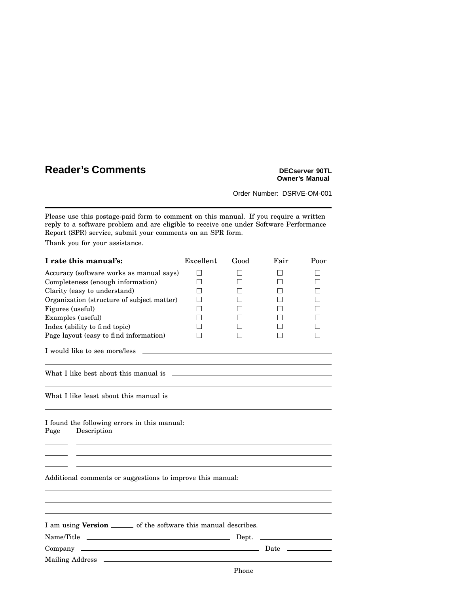# **Reader's Comments DECSET PROPERTY**

# **Owner's Manual**

Order Number: DSRVE-OM-001

Please use this postage-paid form to comment on this manual. If you require a written reply to a software problem and are eligible to receive one under Software Performance Report (SPR) service, submit your comments on an SPR form.

Thank you for your assistance.

| I rate this manual's:                                                                                                                                                                                                          | Excellent              | Good | Fair                                                                                                                                                                                                                           | Poor                        |  |  |
|--------------------------------------------------------------------------------------------------------------------------------------------------------------------------------------------------------------------------------|------------------------|------|--------------------------------------------------------------------------------------------------------------------------------------------------------------------------------------------------------------------------------|-----------------------------|--|--|
| Accuracy (software works as manual says)<br>Completeness (enough information)<br>Clarity (easy to understand)<br>Organization (structure of subject matter)<br>Figures (useful)<br>Examples (useful)                           | П<br>П<br>$\mathsf{L}$ | l 1  | П<br>П<br>$\mathbf{1}$<br>П<br>П<br>П                                                                                                                                                                                          | П<br>П<br>$\mathsf{I}$<br>П |  |  |
| Index (ability to find topic)<br>Page layout (easy to find information)                                                                                                                                                        |                        | П    | l l<br>П                                                                                                                                                                                                                       | П                           |  |  |
|                                                                                                                                                                                                                                |                        |      |                                                                                                                                                                                                                                |                             |  |  |
| What I like best about this manual is example to the control of the state of the state of the state of the state of the state of the state of the state of the state of the state of the state of the state of the state of th |                        |      |                                                                                                                                                                                                                                |                             |  |  |
|                                                                                                                                                                                                                                |                        |      |                                                                                                                                                                                                                                |                             |  |  |
| I found the following errors in this manual:<br>Description<br>Page                                                                                                                                                            |                        |      |                                                                                                                                                                                                                                |                             |  |  |
| Additional comments or suggestions to improve this manual:                                                                                                                                                                     |                        |      |                                                                                                                                                                                                                                |                             |  |  |
| I am using Version _______ of the software this manual describes.                                                                                                                                                              |                        |      |                                                                                                                                                                                                                                |                             |  |  |
| Name/Title                                                                                                                                                                                                                     |                        |      |                                                                                                                                                                                                                                |                             |  |  |
|                                                                                                                                                                                                                                |                        |      | Date that the control of the control of the control of the control of the control of the control of the control of the control of the control of the control of the control of the control of the control of the control of th |                             |  |  |
|                                                                                                                                                                                                                                |                        |      |                                                                                                                                                                                                                                |                             |  |  |
| <u>Phone</u> Phone <b>Phone Phone Phone Phone Phone Phone Phone Phone Phone Phone Phone Phone Phone Phone Phone Phone Phone Phone Phone Phone Phone Phone Phone Phone Phone Phone</b>                                          |                        |      |                                                                                                                                                                                                                                |                             |  |  |